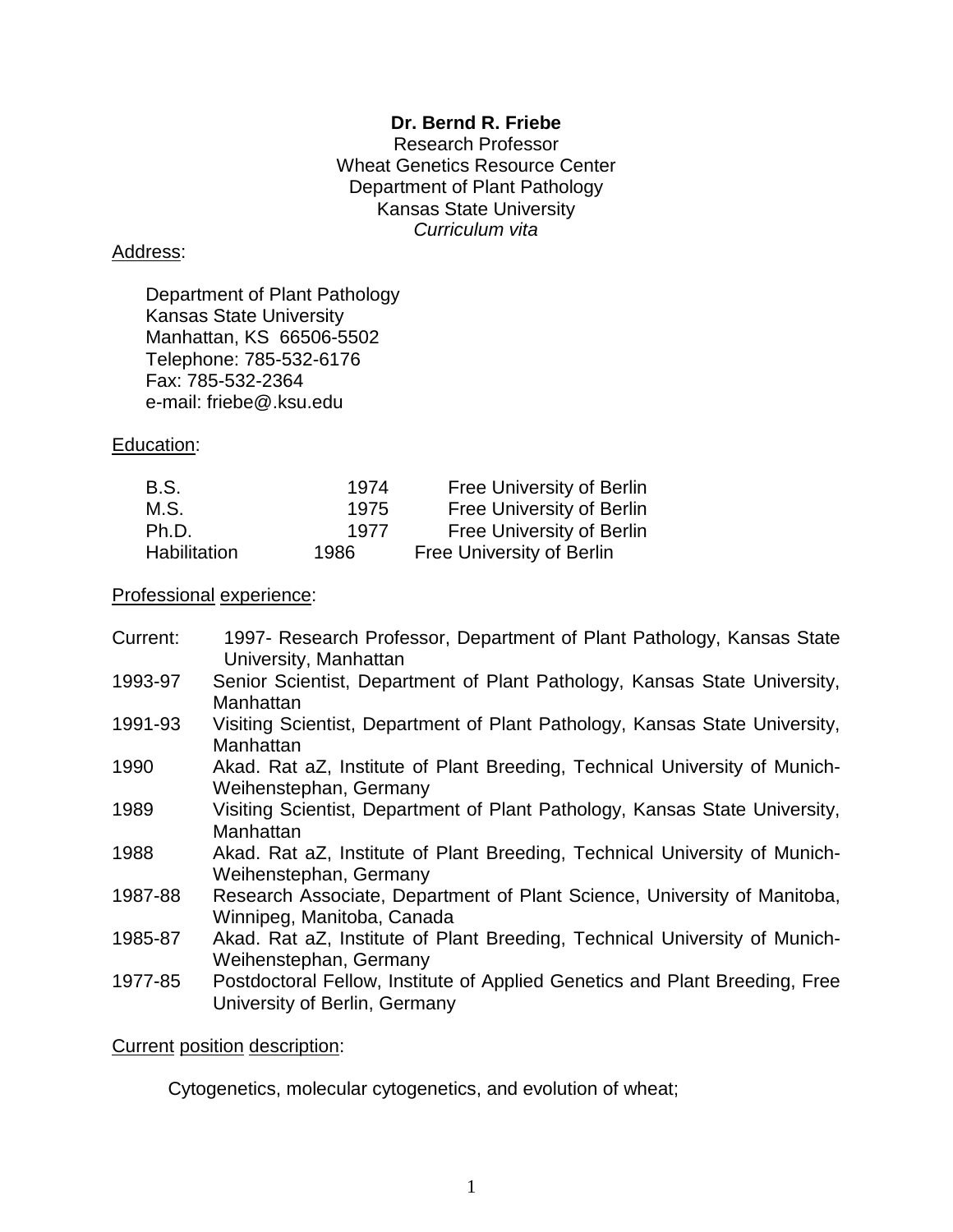## **Dr. Bernd R. Friebe**

Research Professor Wheat Genetics Resource Center Department of Plant Pathology Kansas State University *Curriculum vita*

#### Address:

Department of Plant Pathology Kansas State University Manhattan, KS 66506-5502 Telephone: 785-532-6176 Fax: 785-532-2364 e-mail: friebe@.ksu.edu

Education:

| <b>B.S.</b>  | 1974 | Free University of Berlin |
|--------------|------|---------------------------|
| M.S.         | 1975 | Free University of Berlin |
| Ph.D.        | 1977 | Free University of Berlin |
| Habilitation | 1986 | Free University of Berlin |

Professional experience:

| Current: | 1997- Research Professor, Department of Plant Pathology, Kansas State<br>University, Manhattan               |
|----------|--------------------------------------------------------------------------------------------------------------|
| 1993-97  | Senior Scientist, Department of Plant Pathology, Kansas State University,<br>Manhattan                       |
| 1991-93  | Visiting Scientist, Department of Plant Pathology, Kansas State University,<br>Manhattan                     |
| 1990     | Akad. Rat aZ, Institute of Plant Breeding, Technical University of Munich-<br>Weihenstephan, Germany         |
| 1989     | Visiting Scientist, Department of Plant Pathology, Kansas State University,<br>Manhattan                     |
| 1988     | Akad. Rat aZ, Institute of Plant Breeding, Technical University of Munich-<br>Weihenstephan, Germany         |
| 1987-88  | Research Associate, Department of Plant Science, University of Manitoba,<br>Winnipeg, Manitoba, Canada       |
| 1985-87  | Akad. Rat aZ, Institute of Plant Breeding, Technical University of Munich-<br>Weihenstephan, Germany         |
| 1977-85  | Postdoctoral Fellow, Institute of Applied Genetics and Plant Breeding, Free<br>University of Berlin, Germany |

Current position description:

Cytogenetics, molecular cytogenetics, and evolution of wheat;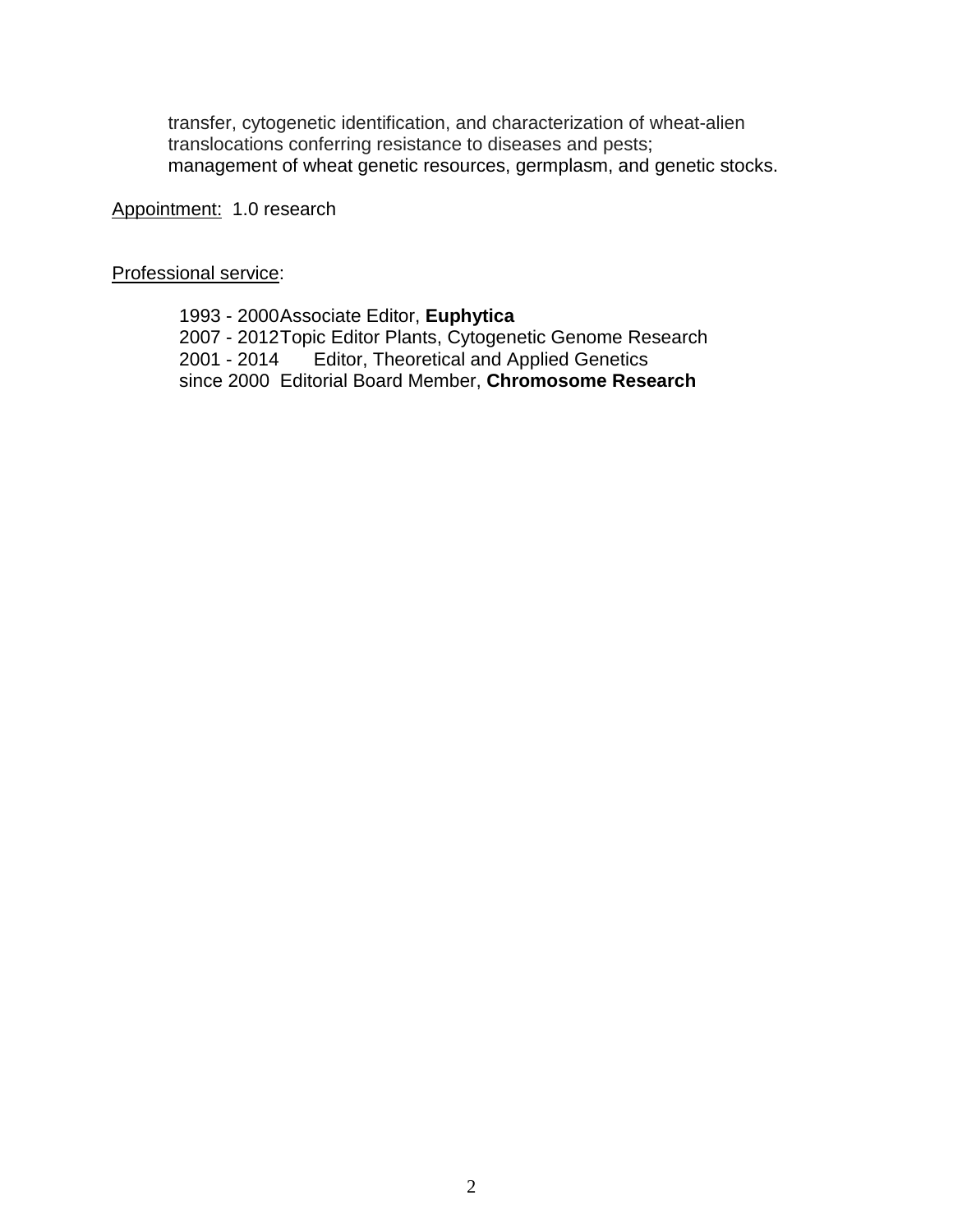transfer, cytogenetic identification, and characterization of wheat-alien translocations conferring resistance to diseases and pests; management of wheat genetic resources, germplasm, and genetic stocks.

Appointment: 1.0 research

Professional service:

 - 2000Associate Editor, **Euphytica** - 2012Topic Editor Plants, Cytogenetic Genome Research - 2014 Editor, Theoretical and Applied Genetics since 2000 Editorial Board Member, **Chromosome Research**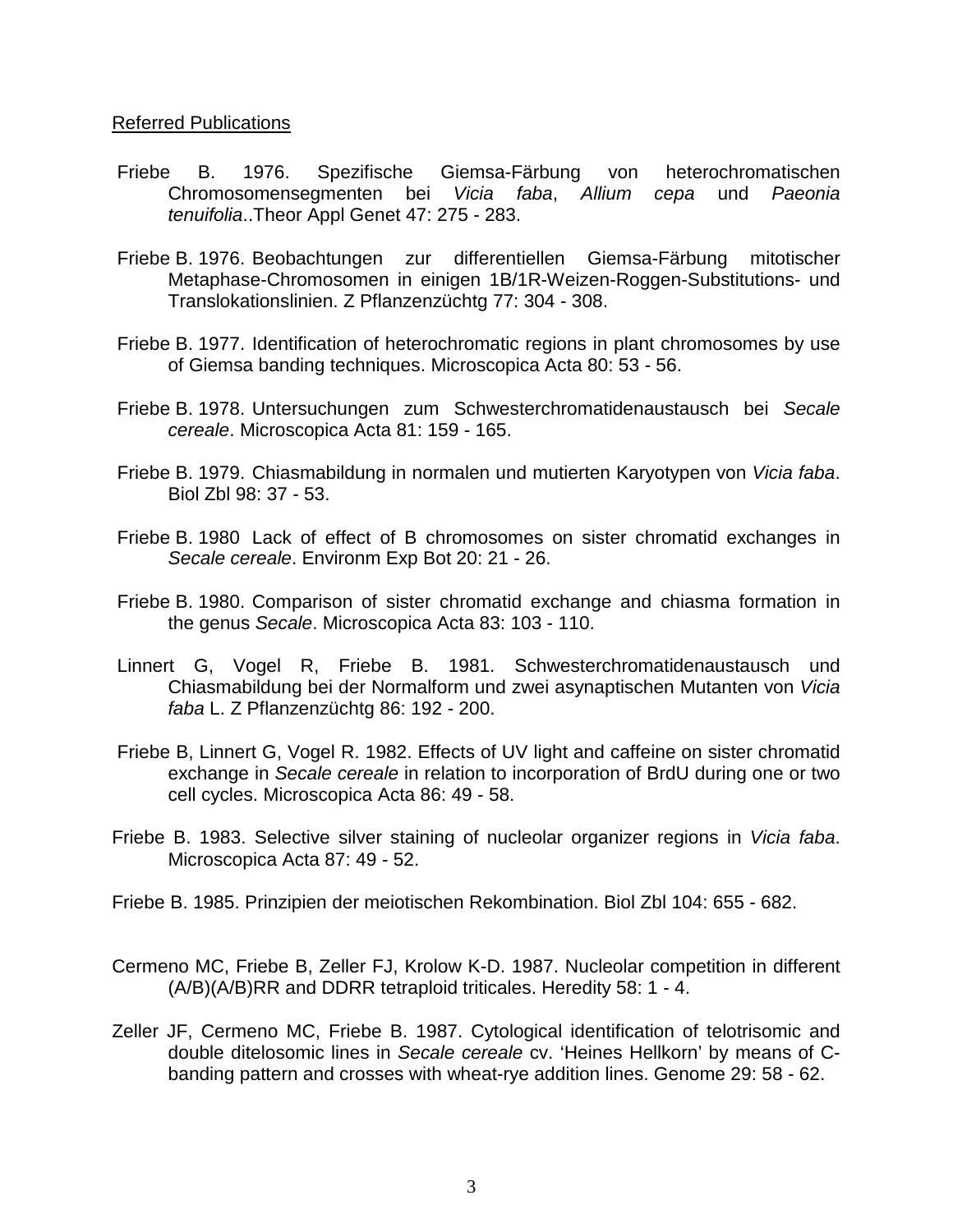#### Referred Publications

- Friebe B. 1976. Spezifische Giemsa-Färbung von heterochromatischen Chromosomensegmenten bei *Vicia faba*, *Allium cepa* und *Paeonia tenuifolia*..Theor Appl Genet 47: 275 - 283.
- Friebe B. 1976. Beobachtungen zur differentiellen Giemsa-Färbung mitotischer Metaphase-Chromosomen in einigen 1B/1R-Weizen-Roggen-Substitutions- und Translokationslinien. Z Pflanzenzüchtg 77: 304 - 308.
- Friebe B. 1977. Identification of heterochromatic regions in plant chromosomes by use of Giemsa banding techniques. Microscopica Acta 80: 53 - 56.
- Friebe B. 1978. Untersuchungen zum Schwesterchromatidenaustausch bei *Secale cereale*. Microscopica Acta 81: 159 - 165.
- Friebe B. 1979. Chiasmabildung in normalen und mutierten Karyotypen von *Vicia faba*. Biol Zbl 98: 37 - 53.
- Friebe B. 1980 Lack of effect of B chromosomes on sister chromatid exchanges in *Secale cereale*. Environm Exp Bot 20: 21 - 26.
- Friebe B. 1980. Comparison of sister chromatid exchange and chiasma formation in the genus *Secale*. Microscopica Acta 83: 103 - 110.
- Linnert G, Vogel R, Friebe B. 1981. Schwesterchromatidenaustausch und Chiasmabildung bei der Normalform und zwei asynaptischen Mutanten von *Vicia faba* L. Z Pflanzenzüchtg 86: 192 - 200.
- Friebe B, Linnert G, Vogel R. 1982. Effects of UV light and caffeine on sister chromatid exchange in *Secale cereale* in relation to incorporation of BrdU during one or two cell cycles. Microscopica Acta 86: 49 - 58.
- Friebe B. 1983. Selective silver staining of nucleolar organizer regions in *Vicia faba*. Microscopica Acta 87: 49 - 52.
- Friebe B. 1985. Prinzipien der meiotischen Rekombination. Biol Zbl 104: 655 682.
- Cermeno MC, Friebe B, Zeller FJ, Krolow K-D. 1987. Nucleolar competition in different (A/B)(A/B)RR and DDRR tetraploid triticales. Heredity 58: 1 - 4.
- Zeller JF, Cermeno MC, Friebe B. 1987. Cytological identification of telotrisomic and double ditelosomic lines in *Secale cereale* cv. 'Heines Hellkorn' by means of Cbanding pattern and crosses with wheat-rye addition lines. Genome 29: 58 - 62.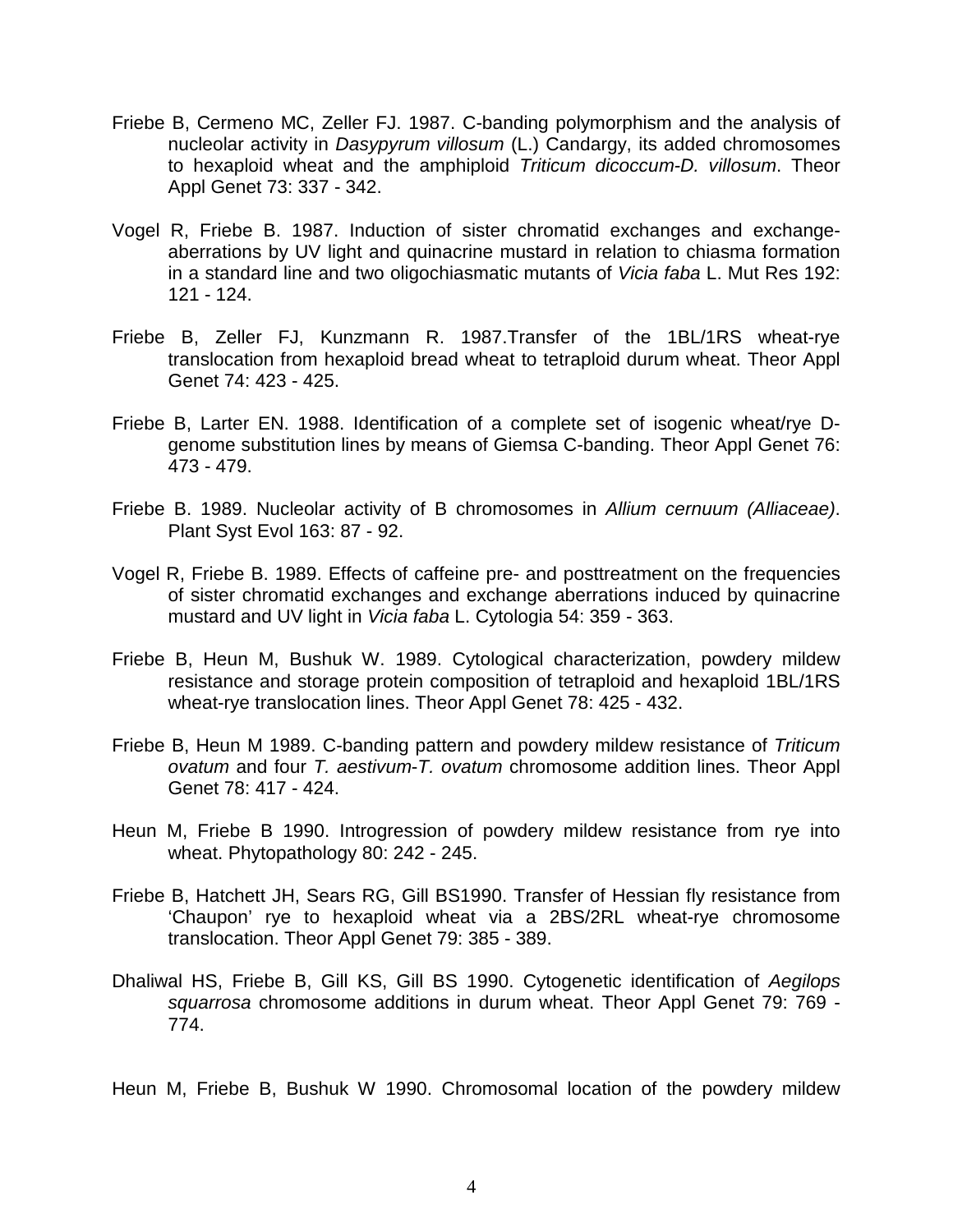- Friebe B, Cermeno MC, Zeller FJ. 1987. C-banding polymorphism and the analysis of nucleolar activity in *Dasypyrum villosum* (L.) Candargy, its added chromosomes to hexaploid wheat and the amphiploid *Triticum dicoccum-D. villosum*. Theor Appl Genet 73: 337 - 342.
- Vogel R, Friebe B. 1987. Induction of sister chromatid exchanges and exchangeaberrations by UV light and quinacrine mustard in relation to chiasma formation in a standard line and two oligochiasmatic mutants of *Vicia faba* L. Mut Res 192: 121 - 124.
- Friebe B, Zeller FJ, Kunzmann R. 1987.Transfer of the 1BL/1RS wheat-rye translocation from hexaploid bread wheat to tetraploid durum wheat. Theor Appl Genet 74: 423 - 425.
- Friebe B, Larter EN. 1988. Identification of a complete set of isogenic wheat/rye Dgenome substitution lines by means of Giemsa C-banding. Theor Appl Genet 76: 473 - 479.
- Friebe B. 1989. Nucleolar activity of B chromosomes in *Allium cernuum (Alliaceae)*. Plant Syst Evol 163: 87 - 92.
- Vogel R, Friebe B. 1989. Effects of caffeine pre- and posttreatment on the frequencies of sister chromatid exchanges and exchange aberrations induced by quinacrine mustard and UV light in *Vicia faba* L. Cytologia 54: 359 - 363.
- Friebe B, Heun M, Bushuk W. 1989. Cytological characterization, powdery mildew resistance and storage protein composition of tetraploid and hexaploid 1BL/1RS wheat-rye translocation lines. Theor Appl Genet 78: 425 - 432.
- Friebe B, Heun M 1989. C-banding pattern and powdery mildew resistance of *Triticum ovatum* and four *T. aestivum*-*T. ovatum* chromosome addition lines. Theor Appl Genet 78: 417 - 424.
- Heun M, Friebe B 1990. Introgression of powdery mildew resistance from rye into wheat. Phytopathology 80: 242 - 245.
- Friebe B, Hatchett JH, Sears RG, Gill BS1990. Transfer of Hessian fly resistance from 'Chaupon' rye to hexaploid wheat via a 2BS/2RL wheat-rye chromosome translocation. Theor Appl Genet 79: 385 - 389.
- Dhaliwal HS, Friebe B, Gill KS, Gill BS 1990. Cytogenetic identification of *Aegilops squarrosa* chromosome additions in durum wheat. Theor Appl Genet 79: 769 - 774.
- Heun M, Friebe B, Bushuk W 1990. Chromosomal location of the powdery mildew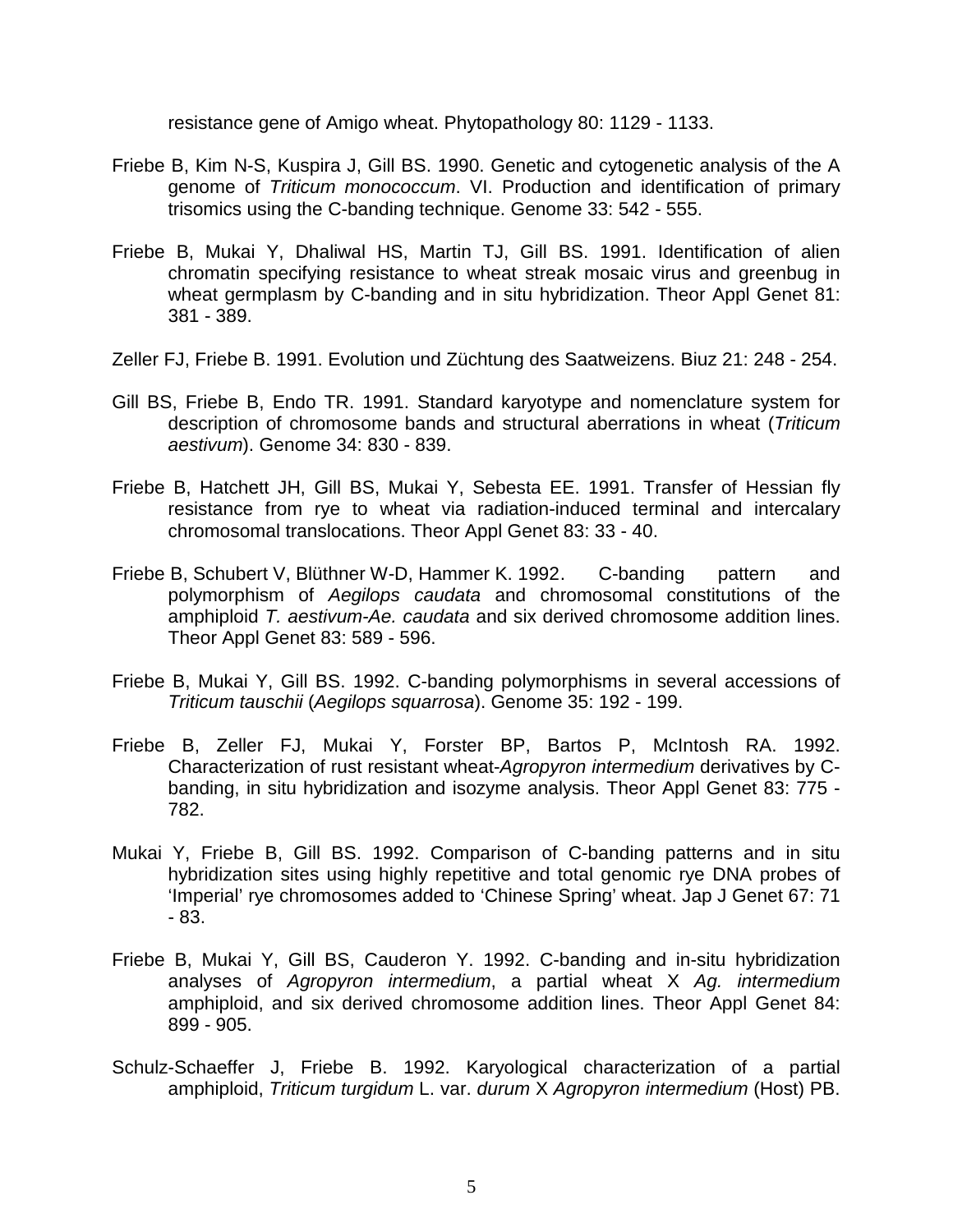resistance gene of Amigo wheat. Phytopathology 80: 1129 - 1133.

- Friebe B, Kim N-S, Kuspira J, Gill BS. 1990. Genetic and cytogenetic analysis of the A genome of *Triticum monococcum*. VI. Production and identification of primary trisomics using the C-banding technique. Genome 33: 542 - 555.
- Friebe B, Mukai Y, Dhaliwal HS, Martin TJ, Gill BS. 1991. Identification of alien chromatin specifying resistance to wheat streak mosaic virus and greenbug in wheat germplasm by C-banding and in situ hybridization. Theor Appl Genet 81: 381 - 389.
- Zeller FJ, Friebe B. 1991. Evolution und Züchtung des Saatweizens. Biuz 21: 248 254.
- Gill BS, Friebe B, Endo TR. 1991. Standard karyotype and nomenclature system for description of chromosome bands and structural aberrations in wheat (*Triticum aestivum*). Genome 34: 830 - 839.
- Friebe B, Hatchett JH, Gill BS, Mukai Y, Sebesta EE. 1991. Transfer of Hessian fly resistance from rye to wheat via radiation-induced terminal and intercalary chromosomal translocations. Theor Appl Genet 83: 33 - 40.
- Friebe B, Schubert V, Blüthner W-D, Hammer K. 1992. C-banding pattern and polymorphism of *Aegilops caudata* and chromosomal constitutions of the amphiploid *T. aestivum-Ae. caudata* and six derived chromosome addition lines. Theor Appl Genet 83: 589 - 596.
- Friebe B, Mukai Y, Gill BS. 1992. C-banding polymorphisms in several accessions of *Triticum tauschii* (*Aegilops squarrosa*). Genome 35: 192 - 199.
- Friebe B, Zeller FJ, Mukai Y, Forster BP, Bartos P, McIntosh RA. 1992. Characterization of rust resistant wheat-*Agropyron intermedium* derivatives by Cbanding, in situ hybridization and isozyme analysis. Theor Appl Genet 83: 775 - 782.
- Mukai Y, Friebe B, Gill BS. 1992. Comparison of C-banding patterns and in situ hybridization sites using highly repetitive and total genomic rye DNA probes of 'Imperial' rye chromosomes added to 'Chinese Spring' wheat. Jap J Genet 67: 71 - 83.
- Friebe B, Mukai Y, Gill BS, Cauderon Y. 1992. C-banding and in-situ hybridization analyses of *Agropyron intermedium*, a partial wheat X *Ag. intermedium* amphiploid, and six derived chromosome addition lines. Theor Appl Genet 84: 899 - 905.
- Schulz-Schaeffer J, Friebe B. 1992. Karyological characterization of a partial amphiploid, *Triticum turgidum* L. var. *durum* X *Agropyron intermedium* (Host) PB.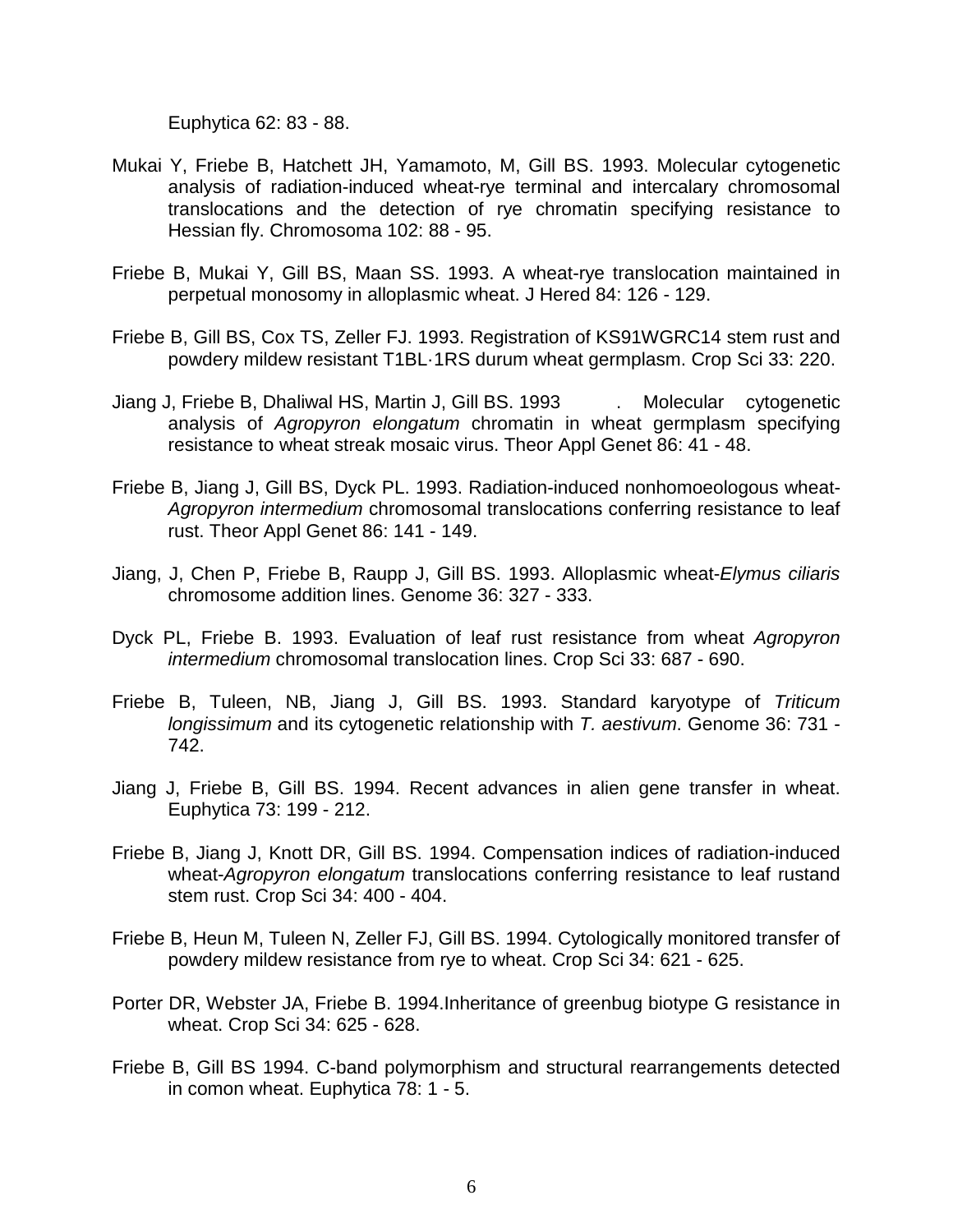Euphytica 62: 83 - 88.

- Mukai Y, Friebe B, Hatchett JH, Yamamoto, M, Gill BS. 1993. Molecular cytogenetic analysis of radiation-induced wheat-rye terminal and intercalary chromosomal translocations and the detection of rye chromatin specifying resistance to Hessian fly. Chromosoma 102: 88 - 95.
- Friebe B, Mukai Y, Gill BS, Maan SS. 1993. A wheat-rye translocation maintained in perpetual monosomy in alloplasmic wheat. J Hered 84: 126 - 129.
- Friebe B, Gill BS, Cox TS, Zeller FJ. 1993. Registration of KS91WGRC14 stem rust and powdery mildew resistant T1BL·1RS durum wheat germplasm. Crop Sci 33: 220.
- Jiang J, Friebe B, Dhaliwal HS, Martin J, Gill BS. 1993 . Molecular cytogenetic analysis of *Agropyron elongatum* chromatin in wheat germplasm specifying resistance to wheat streak mosaic virus. Theor Appl Genet 86: 41 - 48.
- Friebe B, Jiang J, Gill BS, Dyck PL. 1993. Radiation-induced nonhomoeologous wheat-*Agropyron intermedium* chromosomal translocations conferring resistance to leaf rust. Theor Appl Genet 86: 141 - 149.
- Jiang, J, Chen P, Friebe B, Raupp J, Gill BS. 1993. Alloplasmic wheat-*Elymus ciliaris* chromosome addition lines. Genome 36: 327 - 333.
- Dyck PL, Friebe B. 1993. Evaluation of leaf rust resistance from wheat *Agropyron intermedium* chromosomal translocation lines. Crop Sci 33: 687 - 690.
- Friebe B, Tuleen, NB, Jiang J, Gill BS. 1993. Standard karyotype of *Triticum longissimum* and its cytogenetic relationship with *T. aestivum*. Genome 36: 731 - 742.
- Jiang J, Friebe B, Gill BS. 1994. Recent advances in alien gene transfer in wheat. Euphytica 73: 199 - 212.
- Friebe B, Jiang J, Knott DR, Gill BS. 1994. Compensation indices of radiation-induced wheat-*Agropyron elongatum* translocations conferring resistance to leaf rustand stem rust. Crop Sci 34: 400 - 404.
- Friebe B, Heun M, Tuleen N, Zeller FJ, Gill BS. 1994. Cytologically monitored transfer of powdery mildew resistance from rye to wheat. Crop Sci 34: 621 - 625.
- Porter DR, Webster JA, Friebe B. 1994.Inheritance of greenbug biotype G resistance in wheat. Crop Sci 34: 625 - 628.
- Friebe B, Gill BS 1994. C-band polymorphism and structural rearrangements detected in comon wheat. Euphytica 78: 1 - 5.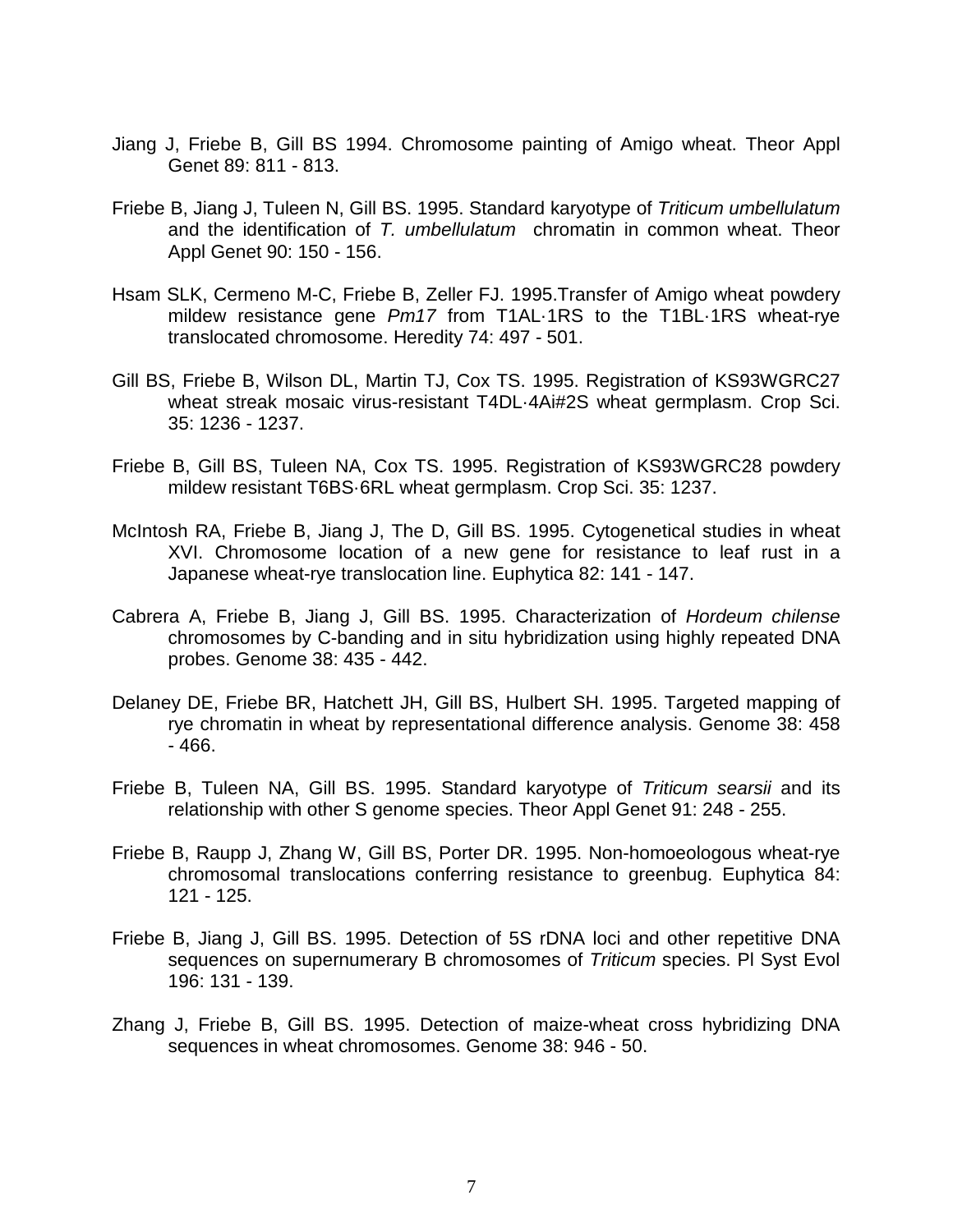- Jiang J, Friebe B, Gill BS 1994. Chromosome painting of Amigo wheat. Theor Appl Genet 89: 811 - 813.
- Friebe B, Jiang J, Tuleen N, Gill BS. 1995. Standard karyotype of *Triticum umbellulatum* and the identification of *T. umbellulatum* chromatin in common wheat. Theor Appl Genet 90: 150 - 156.
- Hsam SLK, Cermeno M-C, Friebe B, Zeller FJ. 1995.Transfer of Amigo wheat powdery mildew resistance gene *Pm17* from T1AL·1RS to the T1BL·1RS wheat-rye translocated chromosome. Heredity 74: 497 - 501.
- Gill BS, Friebe B, Wilson DL, Martin TJ, Cox TS. 1995. Registration of KS93WGRC27 wheat streak mosaic virus-resistant T4DL·4Ai#2S wheat germplasm. Crop Sci. 35: 1236 - 1237.
- Friebe B, Gill BS, Tuleen NA, Cox TS. 1995. Registration of KS93WGRC28 powdery mildew resistant T6BS·6RL wheat germplasm. Crop Sci. 35: 1237.
- McIntosh RA, Friebe B, Jiang J, The D, Gill BS. 1995. Cytogenetical studies in wheat XVI. Chromosome location of a new gene for resistance to leaf rust in a Japanese wheat-rye translocation line. Euphytica 82: 141 - 147.
- Cabrera A, Friebe B, Jiang J, Gill BS. 1995. Characterization of *Hordeum chilense* chromosomes by C-banding and in situ hybridization using highly repeated DNA probes. Genome 38: 435 - 442.
- Delaney DE, Friebe BR, Hatchett JH, Gill BS, Hulbert SH. 1995. Targeted mapping of rye chromatin in wheat by representational difference analysis. Genome 38: 458 - 466.
- Friebe B, Tuleen NA, Gill BS. 1995. Standard karyotype of *Triticum searsii* and its relationship with other S genome species. Theor Appl Genet 91: 248 - 255.
- Friebe B, Raupp J, Zhang W, Gill BS, Porter DR. 1995. Non-homoeologous wheat-rye chromosomal translocations conferring resistance to greenbug. Euphytica 84: 121 - 125.
- Friebe B, Jiang J, Gill BS. 1995. Detection of 5S rDNA loci and other repetitive DNA sequences on supernumerary B chromosomes of *Triticum* species. Pl Syst Evol 196: 131 - 139.
- Zhang J, Friebe B, Gill BS. 1995. Detection of maize-wheat cross hybridizing DNA sequences in wheat chromosomes. Genome 38: 946 - 50.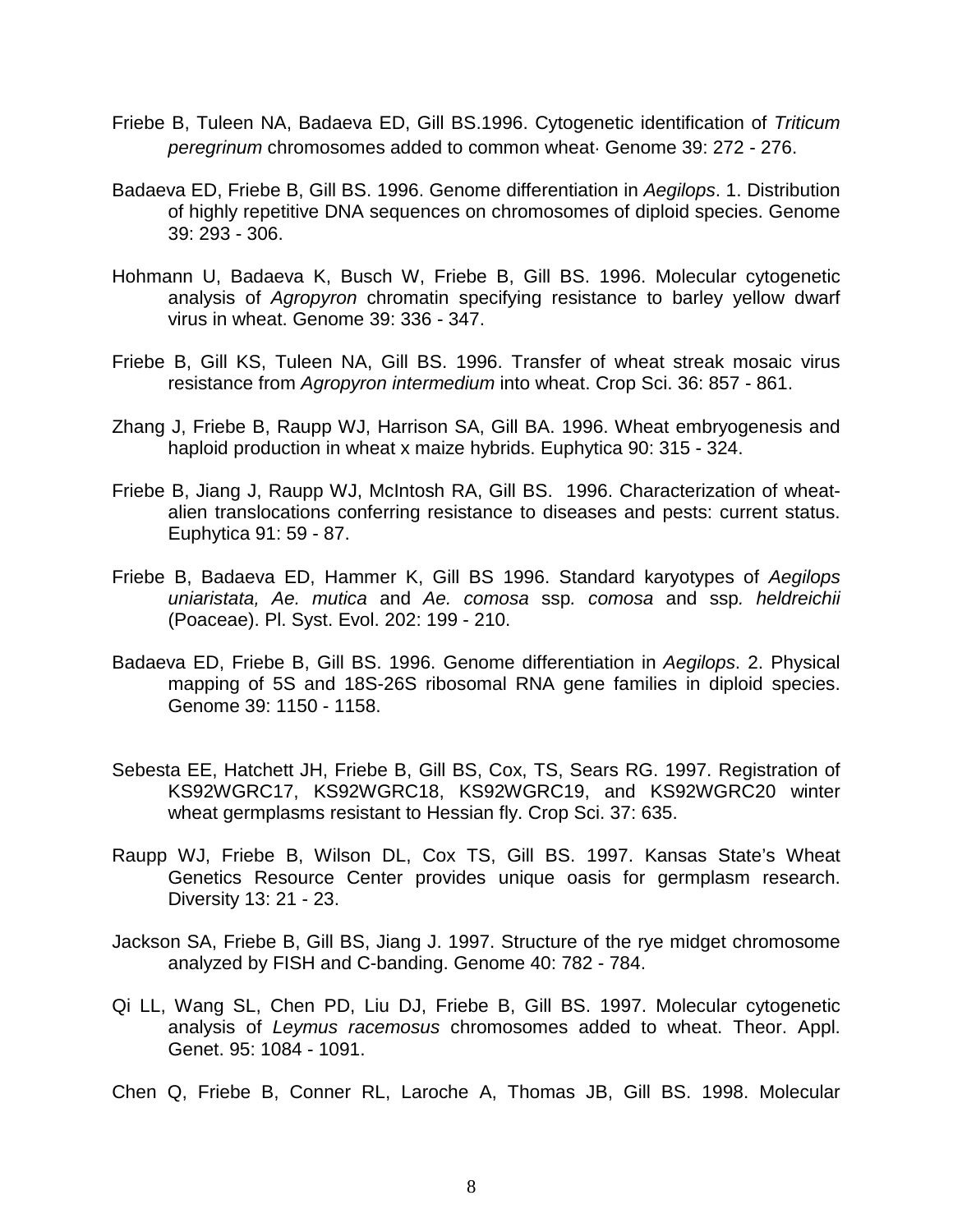- Friebe B, Tuleen NA, Badaeva ED, Gill BS.1996. Cytogenetic identification of *Triticum peregrinum* chromosomes added to common wheat. Genome 39: 272 - 276.
- Badaeva ED, Friebe B, Gill BS. 1996. Genome differentiation in *Aegilops*. 1. Distribution of highly repetitive DNA sequences on chromosomes of diploid species. Genome 39: 293 - 306.
- Hohmann U, Badaeva K, Busch W, Friebe B, Gill BS. 1996. Molecular cytogenetic analysis of *Agropyron* chromatin specifying resistance to barley yellow dwarf virus in wheat. Genome 39: 336 - 347.
- Friebe B, Gill KS, Tuleen NA, Gill BS. 1996. Transfer of wheat streak mosaic virus resistance from *Agropyron intermedium* into wheat. Crop Sci. 36: 857 - 861.
- Zhang J, Friebe B, Raupp WJ, Harrison SA, Gill BA. 1996. Wheat embryogenesis and haploid production in wheat x maize hybrids. Euphytica 90: 315 - 324.
- Friebe B, Jiang J, Raupp WJ, McIntosh RA, Gill BS. 1996. Characterization of wheatalien translocations conferring resistance to diseases and pests: current status. Euphytica 91: 59 - 87.
- Friebe B, Badaeva ED, Hammer K, Gill BS 1996. Standard karyotypes of *Aegilops uniaristata, Ae. mutica* and *Ae. comosa* ssp*. comosa* and ssp*. heldreichii*  (Poaceae). Pl. Syst. Evol. 202: 199 - 210.
- Badaeva ED, Friebe B, Gill BS. 1996. Genome differentiation in *Aegilops*. 2. Physical mapping of 5S and 18S-26S ribosomal RNA gene families in diploid species. Genome 39: 1150 - 1158.
- Sebesta EE, Hatchett JH, Friebe B, Gill BS, Cox, TS, Sears RG. 1997. Registration of KS92WGRC17, KS92WGRC18, KS92WGRC19, and KS92WGRC20 winter wheat germplasms resistant to Hessian fly. Crop Sci. 37: 635.
- Raupp WJ, Friebe B, Wilson DL, Cox TS, Gill BS. 1997. Kansas State's Wheat Genetics Resource Center provides unique oasis for germplasm research. Diversity 13: 21 - 23.
- Jackson SA, Friebe B, Gill BS, Jiang J. 1997. Structure of the rye midget chromosome analyzed by FISH and C-banding. Genome 40: 782 - 784.
- Qi LL, Wang SL, Chen PD, Liu DJ, Friebe B, Gill BS. 1997. Molecular cytogenetic analysis of *Leymus racemosus* chromosomes added to wheat. Theor. Appl. Genet. 95: 1084 - 1091.
- Chen Q, Friebe B, Conner RL, Laroche A, Thomas JB, Gill BS. 1998. Molecular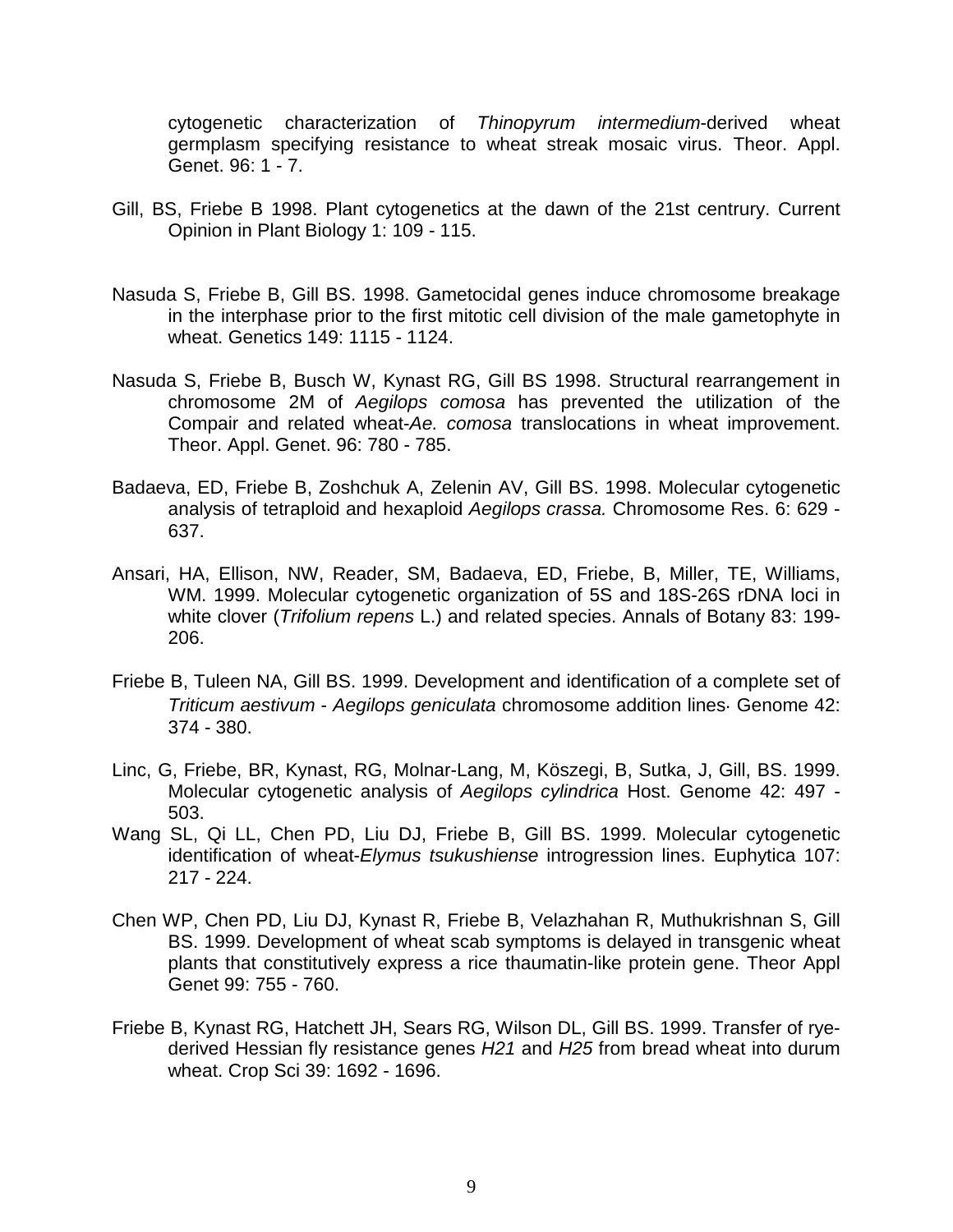cytogenetic characterization of *Thinopyrum intermedium*-derived wheat germplasm specifying resistance to wheat streak mosaic virus. Theor. Appl. Genet. 96: 1 - 7.

- Gill, BS, Friebe B 1998. Plant cytogenetics at the dawn of the 21st centrury. Current Opinion in Plant Biology 1: 109 - 115.
- Nasuda S, Friebe B, Gill BS. 1998. Gametocidal genes induce chromosome breakage in the interphase prior to the first mitotic cell division of the male gametophyte in wheat. Genetics 149: 1115 - 1124.
- Nasuda S, Friebe B, Busch W, Kynast RG, Gill BS 1998. Structural rearrangement in chromosome 2M of *Aegilops comosa* has prevented the utilization of the Compair and related wheat-*Ae. comosa* translocations in wheat improvement. Theor. Appl. Genet. 96: 780 - 785.
- Badaeva, ED, Friebe B, Zoshchuk A, Zelenin AV, Gill BS. 1998. Molecular cytogenetic analysis of tetraploid and hexaploid *Aegilops crassa.* Chromosome Res. 6: 629 - 637.
- Ansari, HA, Ellison, NW, Reader, SM, Badaeva, ED, Friebe, B, Miller, TE, Williams, WM. 1999. Molecular cytogenetic organization of 5S and 18S-26S rDNA loci in white clover (*Trifolium repens* L.) and related species. Annals of Botany 83: 199- 206.
- Friebe B, Tuleen NA, Gill BS. 1999. Development and identification of a complete set of *Triticum aestivum* - *Aegilops geniculata* chromosome addition lines. Genome 42: 374 - 380.
- Linc, G, Friebe, BR, Kynast, RG, Molnar-Lang, M, Köszegi, B, Sutka, J, Gill, BS. 1999. Molecular cytogenetic analysis of *Aegilops cylindrica* Host. Genome 42: 497 - 503.
- Wang SL, Qi LL, Chen PD, Liu DJ, Friebe B, Gill BS. 1999. Molecular cytogenetic identification of wheat-*Elymus tsukushiense* introgression lines. Euphytica 107: 217 - 224.
- Chen WP, Chen PD, Liu DJ, Kynast R, Friebe B, Velazhahan R, Muthukrishnan S, Gill BS. 1999. Development of wheat scab symptoms is delayed in transgenic wheat plants that constitutively express a rice thaumatin-like protein gene. Theor Appl Genet 99: 755 - 760.
- Friebe B, Kynast RG, Hatchett JH, Sears RG, Wilson DL, Gill BS. 1999. Transfer of ryederived Hessian fly resistance genes *H21* and *H25* from bread wheat into durum wheat. Crop Sci 39: 1692 - 1696.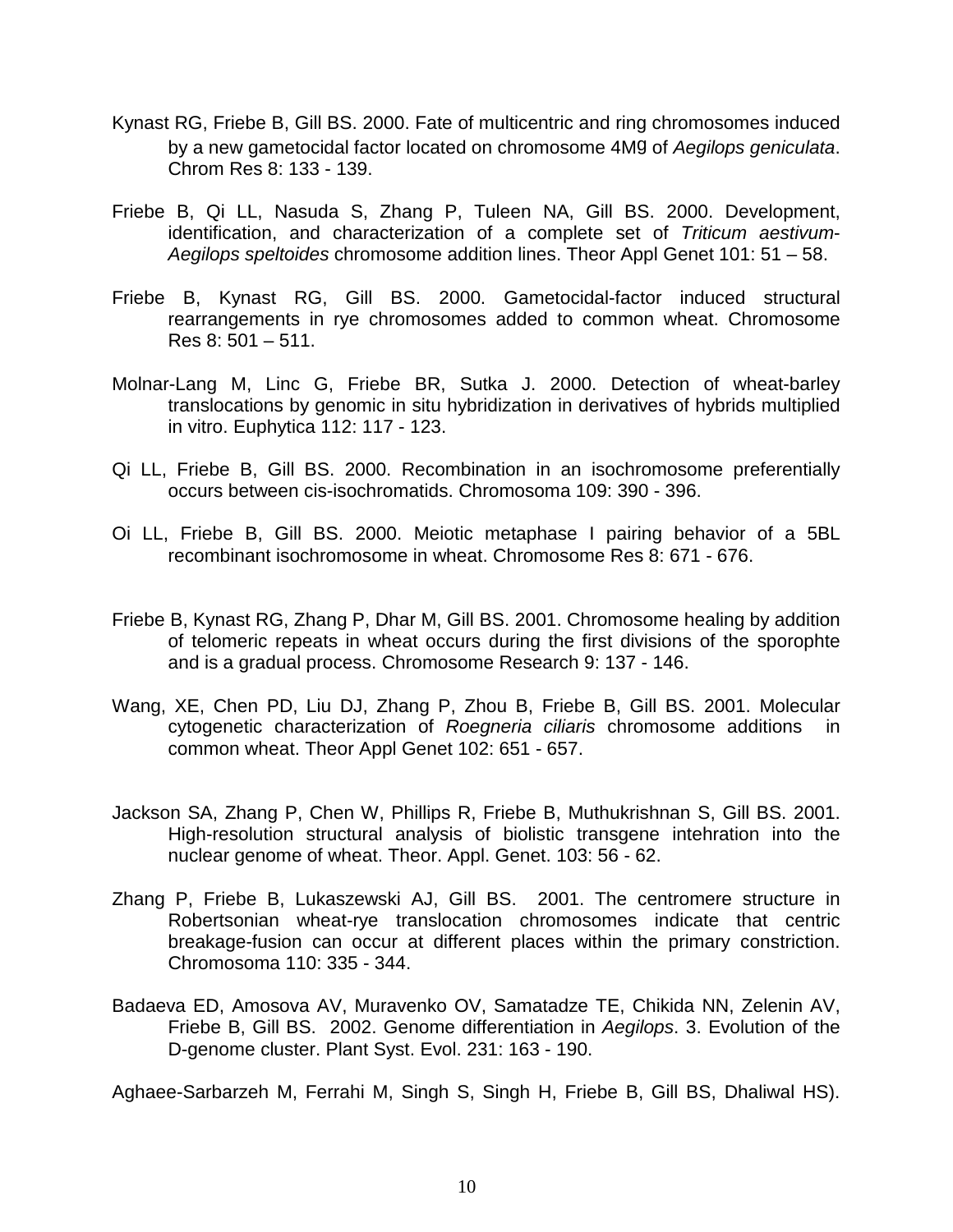- Kynast RG, Friebe B, Gill BS. 2000. Fate of multicentric and ring chromosomes induced by a new gametocidal factor located on chromosome 4Mg of *Aegilops geniculata*. Chrom Res 8: 133 - 139.
- Friebe B, Qi LL, Nasuda S, Zhang P, Tuleen NA, Gill BS. 2000. Development, identification, and characterization of a complete set of *Triticum aestivum*-*Aegilops speltoides* chromosome addition lines. Theor Appl Genet 101: 51 – 58.
- Friebe B, Kynast RG, Gill BS. 2000. Gametocidal-factor induced structural rearrangements in rye chromosomes added to common wheat. Chromosome Res 8: 501 – 511.
- Molnar-Lang M, Linc G, Friebe BR, Sutka J. 2000. Detection of wheat-barley translocations by genomic in situ hybridization in derivatives of hybrids multiplied in vitro. Euphytica 112: 117 - 123.
- Qi LL, Friebe B, Gill BS. 2000. Recombination in an isochromosome preferentially occurs between cis-isochromatids. Chromosoma 109: 390 - 396.
- Oi LL, Friebe B, Gill BS. 2000. Meiotic metaphase I pairing behavior of a 5BL recombinant isochromosome in wheat. Chromosome Res 8: 671 - 676.
- Friebe B, Kynast RG, Zhang P, Dhar M, Gill BS. 2001. Chromosome healing by addition of telomeric repeats in wheat occurs during the first divisions of the sporophte and is a gradual process. Chromosome Research 9: 137 - 146.
- Wang, XE, Chen PD, Liu DJ, Zhang P, Zhou B, Friebe B, Gill BS. 2001. Molecular cytogenetic characterization of *Roegneria ciliaris* chromosome additions in common wheat. Theor Appl Genet 102: 651 - 657.
- Jackson SA, Zhang P, Chen W, Phillips R, Friebe B, Muthukrishnan S, Gill BS. 2001. High-resolution structural analysis of biolistic transgene intehration into the nuclear genome of wheat. Theor. Appl. Genet. 103: 56 - 62.
- Zhang P, Friebe B, Lukaszewski AJ, Gill BS. 2001. The centromere structure in Robertsonian wheat-rye translocation chromosomes indicate that centric breakage-fusion can occur at different places within the primary constriction. Chromosoma 110: 335 - 344.
- Badaeva ED, Amosova AV, Muravenko OV, Samatadze TE, Chikida NN, Zelenin AV, Friebe B, Gill BS. 2002. Genome differentiation in *Aegilops*. 3. Evolution of the D-genome cluster. Plant Syst. Evol. 231: 163 - 190.

Aghaee-Sarbarzeh M, Ferrahi M, Singh S, Singh H, Friebe B, Gill BS, Dhaliwal HS).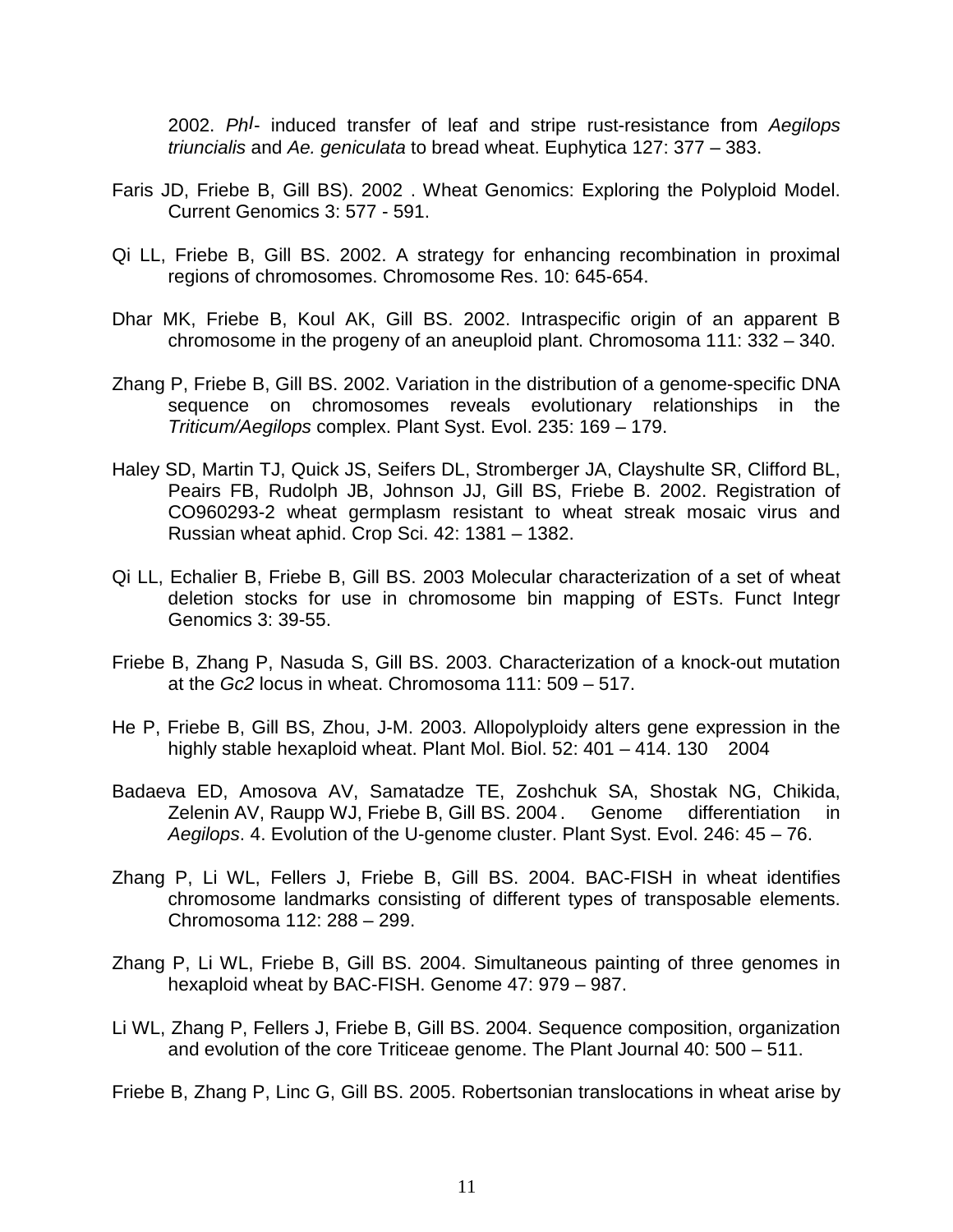2002. *PhI*- induced transfer of leaf and stripe rust-resistance from *Aegilops triuncialis* and *Ae. geniculata* to bread wheat. Euphytica 127: 377 – 383.

- Faris JD, Friebe B, Gill BS). 2002 . Wheat Genomics: Exploring the Polyploid Model. Current Genomics 3: 577 - 591.
- Qi LL, Friebe B, Gill BS. 2002. A strategy for enhancing recombination in proximal regions of chromosomes. Chromosome Res. 10: 645-654.
- Dhar MK, Friebe B, Koul AK, Gill BS. 2002. Intraspecific origin of an apparent B chromosome in the progeny of an aneuploid plant. Chromosoma 111: 332 – 340.
- Zhang P, Friebe B, Gill BS. 2002. Variation in the distribution of a genome-specific DNA sequence on chromosomes reveals evolutionary relationships in the *Triticum/Aegilops* complex. Plant Syst. Evol. 235: 169 – 179.
- Haley SD, Martin TJ, Quick JS, Seifers DL, Stromberger JA, Clayshulte SR, Clifford BL, Peairs FB, Rudolph JB, Johnson JJ, Gill BS, Friebe B. 2002. Registration of CO960293-2 wheat germplasm resistant to wheat streak mosaic virus and Russian wheat aphid. Crop Sci. 42: 1381 – 1382.
- Qi LL, Echalier B, Friebe B, Gill BS. 2003 Molecular characterization of a set of wheat deletion stocks for use in chromosome bin mapping of ESTs. Funct Integr Genomics 3: 39-55.
- Friebe B, Zhang P, Nasuda S, Gill BS. 2003. Characterization of a knock-out mutation at the *Gc2* locus in wheat. Chromosoma 111: 509 – 517.
- He P, Friebe B, Gill BS, Zhou, J-M. 2003. Allopolyploidy alters gene expression in the highly stable hexaploid wheat. Plant Mol. Biol. 52: 401 – 414. 130 2004
- Badaeva ED, Amosova AV, Samatadze TE, Zoshchuk SA, Shostak NG, Chikida, Zelenin AV, Raupp WJ, Friebe B, Gill BS. 2004. Genome differentiation in *Aegilops*. 4. Evolution of the U-genome cluster. Plant Syst. Evol. 246: 45 – 76.
- Zhang P, Li WL, Fellers J, Friebe B, Gill BS. 2004. BAC-FISH in wheat identifies chromosome landmarks consisting of different types of transposable elements. Chromosoma 112: 288 – 299.
- Zhang P, Li WL, Friebe B, Gill BS. 2004. Simultaneous painting of three genomes in hexaploid wheat by BAC-FISH. Genome 47: 979 – 987.
- Li WL, Zhang P, Fellers J, Friebe B, Gill BS. 2004. Sequence composition, organization and evolution of the core Triticeae genome. The Plant Journal 40: 500 – 511.

Friebe B, Zhang P, Linc G, Gill BS. 2005. Robertsonian translocations in wheat arise by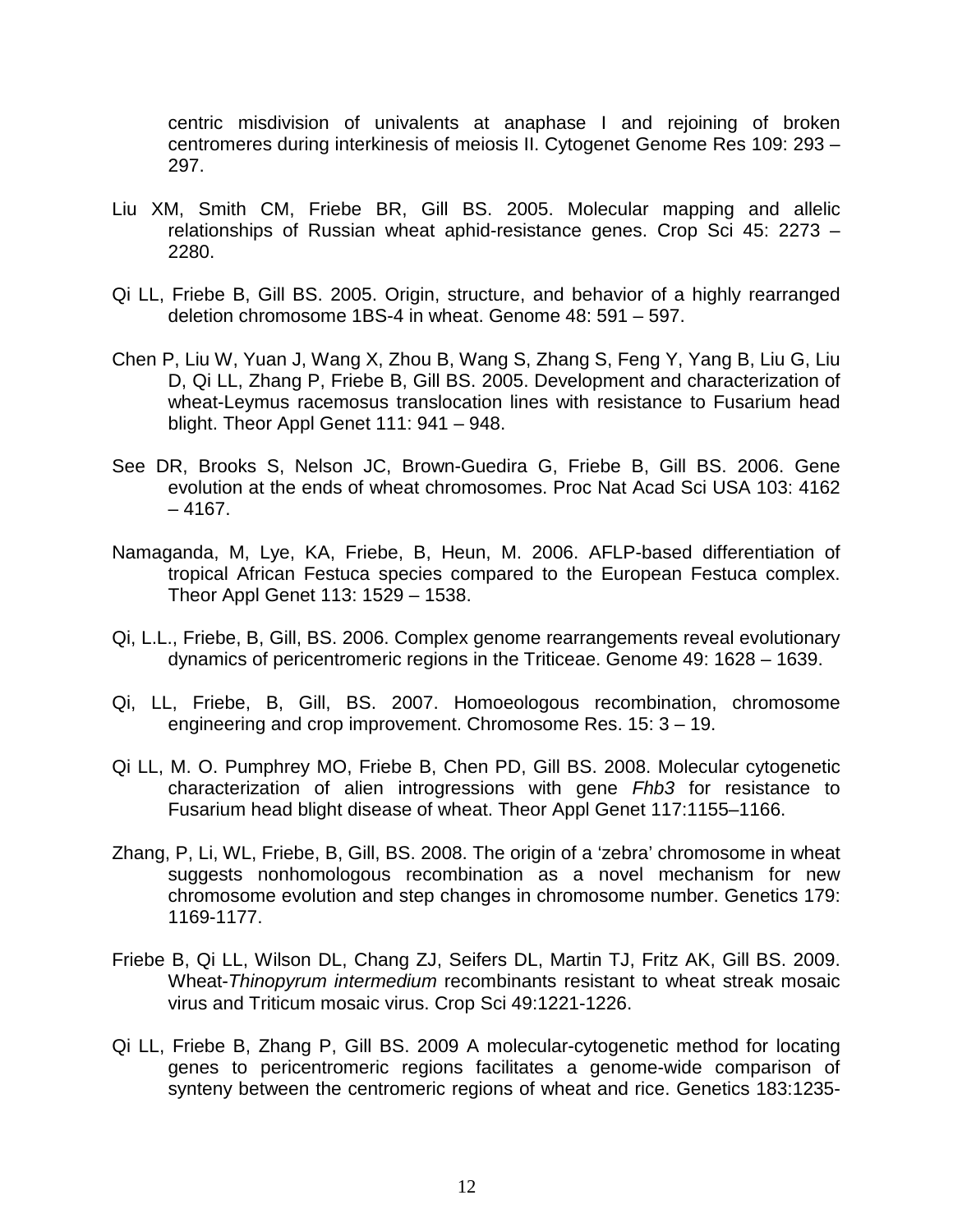centric misdivision of univalents at anaphase I and rejoining of broken centromeres during interkinesis of meiosis II. Cytogenet Genome Res 109: 293 – 297.

- Liu XM, Smith CM, Friebe BR, Gill BS. 2005. Molecular mapping and allelic relationships of Russian wheat aphid-resistance genes. Crop Sci 45: 2273 – 2280.
- Qi LL, Friebe B, Gill BS. 2005. Origin, structure, and behavior of a highly rearranged deletion chromosome 1BS-4 in wheat. Genome 48: 591 – 597.
- Chen P, Liu W, Yuan J, Wang X, Zhou B, Wang S, Zhang S, Feng Y, Yang B, Liu G, Liu D, Qi LL, Zhang P, Friebe B, Gill BS. 2005. Development and characterization of wheat-Leymus racemosus translocation lines with resistance to Fusarium head blight. Theor Appl Genet 111: 941 – 948.
- See DR, Brooks S, Nelson JC, Brown-Guedira G, Friebe B, Gill BS. 2006. Gene evolution at the ends of wheat chromosomes. Proc Nat Acad Sci USA 103: 4162  $-4167.$
- Namaganda, M, Lye, KA, Friebe, B, Heun, M. 2006. AFLP-based differentiation of tropical African Festuca species compared to the European Festuca complex. Theor Appl Genet 113: 1529 – 1538.
- Qi, L.L., Friebe, B, Gill, BS. 2006. Complex genome rearrangements reveal evolutionary dynamics of pericentromeric regions in the Triticeae. Genome 49: 1628 – 1639.
- Qi, LL, Friebe, B, Gill, BS. 2007. Homoeologous recombination, chromosome engineering and crop improvement. Chromosome Res. 15: 3 – 19.
- Qi LL, M. O. Pumphrey MO, Friebe B, Chen PD, Gill BS. 2008. Molecular cytogenetic characterization of alien introgressions with gene *Fhb3* for resistance to Fusarium head blight disease of wheat. Theor Appl Genet 117:1155–1166.
- Zhang, P, Li, WL, Friebe, B, Gill, BS. 2008. The origin of a 'zebra' chromosome in wheat suggests nonhomologous recombination as a novel mechanism for new chromosome evolution and step changes in chromosome number. Genetics 179: 1169-1177.
- Friebe B, Qi LL, Wilson DL, Chang ZJ, Seifers DL, Martin TJ, Fritz AK, Gill BS. 2009. Wheat-*Thinopyrum intermedium* recombinants resistant to wheat streak mosaic virus and Triticum mosaic virus. Crop Sci 49:1221-1226.
- Qi LL, Friebe B, Zhang P, Gill BS. 2009 A molecular-cytogenetic method for locating genes to pericentromeric regions facilitates a genome-wide comparison of synteny between the centromeric regions of wheat and rice. Genetics 183:1235-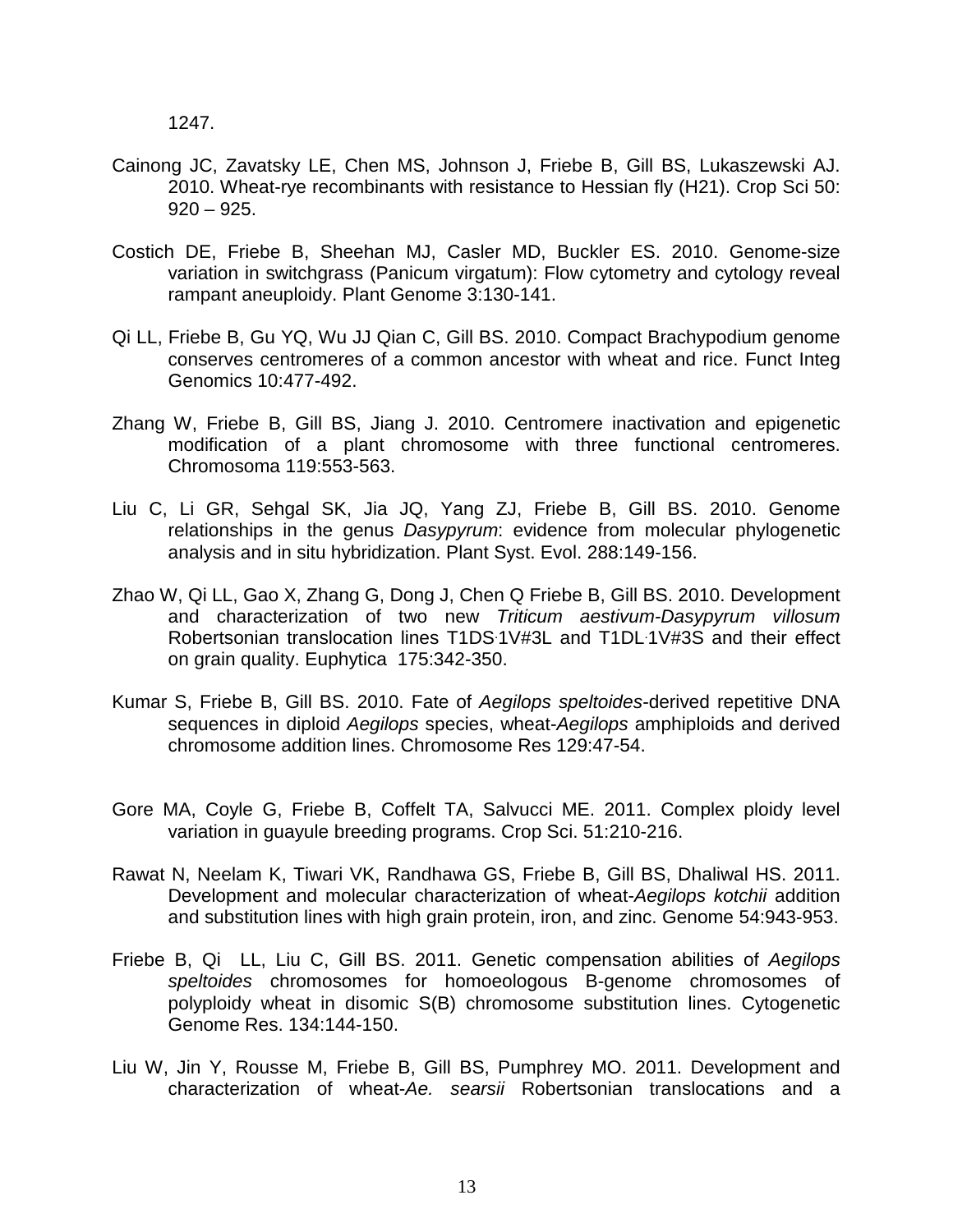1247.

- Cainong JC, Zavatsky LE, Chen MS, Johnson J, Friebe B, Gill BS, Lukaszewski AJ. 2010. Wheat-rye recombinants with resistance to Hessian fly (H21). Crop Sci 50:  $920 - 925.$
- Costich DE, Friebe B, Sheehan MJ, Casler MD, Buckler ES. 2010. Genome-size variation in switchgrass (Panicum virgatum): Flow cytometry and cytology reveal rampant aneuploidy. Plant Genome 3:130-141.
- Qi LL, Friebe B, Gu YQ, Wu JJ Qian C, Gill BS. 2010. Compact Brachypodium genome conserves centromeres of a common ancestor with wheat and rice. Funct Integ Genomics 10:477-492.
- Zhang W, Friebe B, Gill BS, Jiang J. 2010. Centromere inactivation and epigenetic modification of a plant chromosome with three functional centromeres. Chromosoma 119:553-563.
- Liu C, Li GR, Sehgal SK, Jia JQ, Yang ZJ, Friebe B, Gill BS. 2010. Genome relationships in the genus *Dasypyrum*: evidence from molecular phylogenetic analysis and in situ hybridization. Plant Syst. Evol. 288:149-156.
- Zhao W, Qi LL, Gao X, Zhang G, Dong J, Chen Q Friebe B, Gill BS. 2010. Development and characterization of two new *Triticum aestivum-Dasypyrum villosum* Robertsonian translocation lines T1DS 1V#3L and T1DL 1V#3S and their effect on grain quality. Euphytica 175:342-350.
- Kumar S, Friebe B, Gill BS. 2010. Fate of *Aegilops speltoides*-derived repetitive DNA sequences in diploid *Aegilops* species, wheat-*Aegilops* amphiploids and derived chromosome addition lines. Chromosome Res 129:47-54.
- Gore MA, Coyle G, Friebe B, Coffelt TA, Salvucci ME. 2011. Complex ploidy level variation in guayule breeding programs. Crop Sci. 51:210-216.
- Rawat N, Neelam K, Tiwari VK, Randhawa GS, Friebe B, Gill BS, Dhaliwal HS. 2011. Development and molecular characterization of wheat-*Aegilops kotchii* addition and substitution lines with high grain protein, iron, and zinc. Genome 54:943-953.
- Friebe B, Qi LL, Liu C, Gill BS. 2011. Genetic compensation abilities of *Aegilops speltoides* chromosomes for homoeologous B-genome chromosomes of polyploidy wheat in disomic S(B) chromosome substitution lines. Cytogenetic Genome Res. 134:144-150.
- Liu W, Jin Y, Rousse M, Friebe B, Gill BS, Pumphrey MO. 2011. Development and characterization of wheat-*Ae. searsii* Robertsonian translocations and a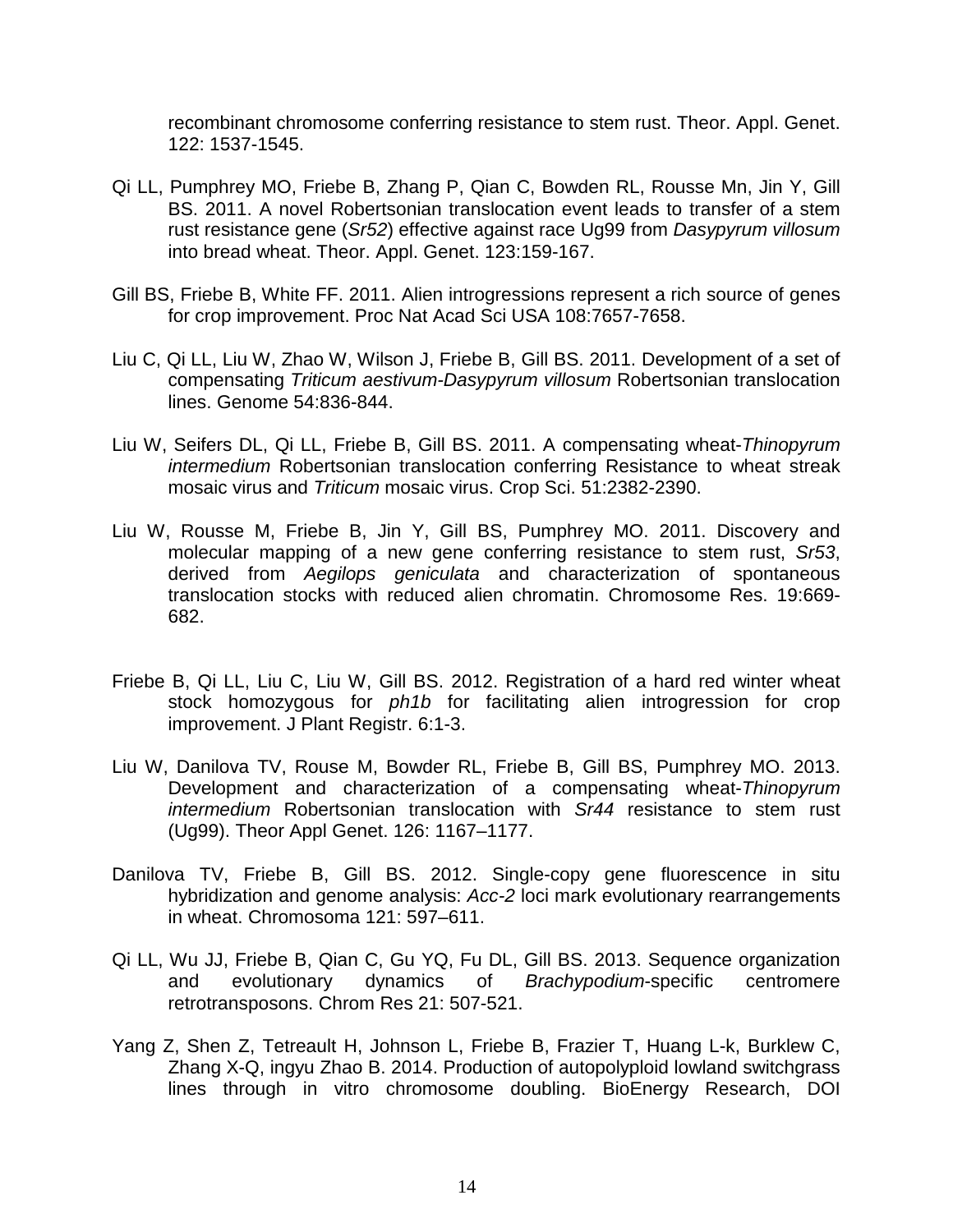recombinant chromosome conferring resistance to stem rust. Theor. Appl. Genet. 122: 1537-1545.

- Qi LL, Pumphrey MO, Friebe B, Zhang P, Qian C, Bowden RL, Rousse Mn, Jin Y, Gill BS. 2011. A novel Robertsonian translocation event leads to transfer of a stem rust resistance gene (*Sr52*) effective against race Ug99 from *Dasypyrum villosum* into bread wheat. Theor. Appl. Genet. 123:159-167.
- Gill BS, Friebe B, White FF. 2011. Alien introgressions represent a rich source of genes for crop improvement. Proc Nat Acad Sci USA 108:7657-7658.
- Liu C, Qi LL, Liu W, Zhao W, Wilson J, Friebe B, Gill BS. 2011. Development of a set of compensating *Triticum aestivum-Dasypyrum villosum* Robertsonian translocation lines. Genome 54:836-844.
- Liu W, Seifers DL, Qi LL, Friebe B, Gill BS. 2011. A compensating wheat-*Thinopyrum intermedium* Robertsonian translocation conferring Resistance to wheat streak mosaic virus and *Triticum* mosaic virus. Crop Sci. 51:2382-2390.
- Liu W, Rousse M, Friebe B, Jin Y, Gill BS, Pumphrey MO. 2011. Discovery and molecular mapping of a new gene conferring resistance to stem rust, *Sr53*, derived from *Aegilops geniculata* and characterization of spontaneous translocation stocks with reduced alien chromatin. Chromosome Res. 19:669- 682.
- Friebe B, Qi LL, Liu C, Liu W, Gill BS. 2012. Registration of a hard red winter wheat stock homozygous for *ph1b* for facilitating alien introgression for crop improvement. J Plant Registr. 6:1-3.
- Liu W, Danilova TV, Rouse M, Bowder RL, Friebe B, Gill BS, Pumphrey MO. 2013. Development and characterization of a compensating wheat-*Thinopyrum intermedium* Robertsonian translocation with *Sr44* resistance to stem rust (Ug99). Theor Appl Genet. 126: 1167–1177.
- Danilova TV, Friebe B, Gill BS. 2012. Single-copy gene fluorescence in situ hybridization and genome analysis: *Acc-2* loci mark evolutionary rearrangements in wheat. Chromosoma 121: 597–611.
- Qi LL, Wu JJ, Friebe B, Qian C, Gu YQ, Fu DL, Gill BS. 2013. Sequence organization and evolutionary dynamics of *Brachypodium*-specific centromere retrotransposons. Chrom Res 21: 507-521.
- Yang Z, Shen Z, Tetreault H, Johnson L, Friebe B, Frazier T, Huang L-k, Burklew C, Zhang X-Q, ingyu Zhao B. 2014. Production of autopolyploid lowland switchgrass lines through in vitro chromosome doubling. BioEnergy Research, DOI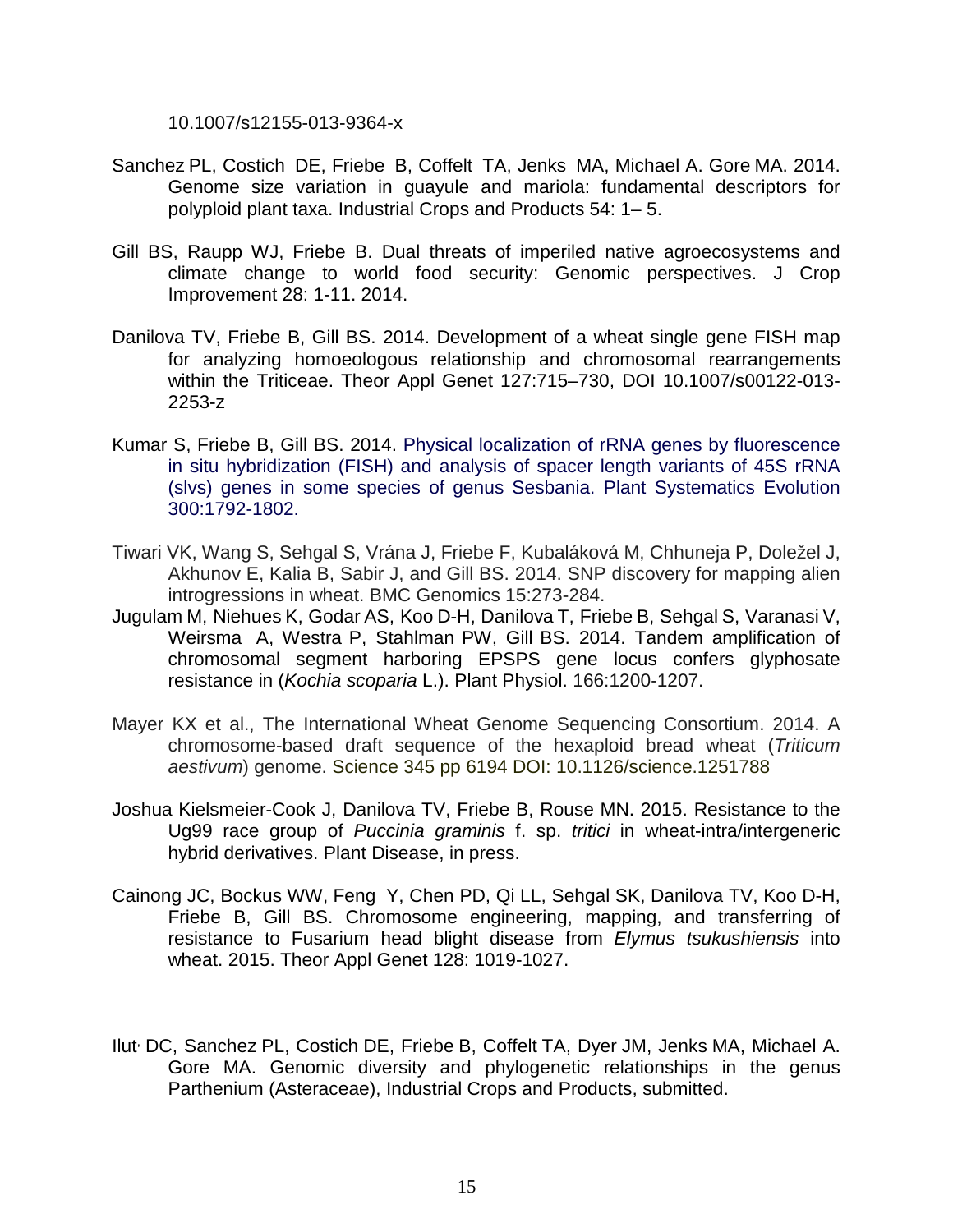10.1007/s12155-013-9364-x

- Sanchez PL, Costich DE, Friebe B, Coffelt TA, Jenks MA, Michael A. Gore MA. 2014. Genome size variation in guayule and mariola: fundamental descriptors for polyploid plant taxa. Industrial Crops and Products 54: 1– 5.
- Gill BS, Raupp WJ, Friebe B. Dual threats of imperiled native agroecosystems and climate change to world food security: Genomic perspectives. J Crop Improvement 28: 1-11. 2014.
- Danilova TV, Friebe B, Gill BS. 2014. Development of a wheat single gene FISH map for analyzing homoeologous relationship and chromosomal rearrangements within the Triticeae. Theor Appl Genet 127:715–730, DOI 10.1007/s00122-013- 2253-z
- Kumar S, Friebe B, Gill BS. 2014. Physical localization of rRNA genes by fluorescence in situ hybridization (FISH) and analysis of spacer length variants of 45S rRNA (slvs) genes in some species of genus Sesbania. Plant Systematics Evolution 300:1792-1802.
- Tiwari VK, Wang S, Sehgal S, Vrána J, Friebe F, Kubaláková M, Chhuneja P, Doležel J, Akhunov E, Kalia B, Sabir J, and Gill BS. 2014. SNP discovery for mapping alien introgressions in wheat. BMC Genomics 15:273-284.
- Jugulam M, Niehues K, Godar AS, Koo D-H, Danilova T, Friebe B, Sehgal S, Varanasi V, Weirsma A, Westra P, Stahlman PW, Gill BS. 2014. Tandem amplification of chromosomal segment harboring EPSPS gene locus confers glyphosate resistance in (*Kochia scoparia* L.). Plant Physiol. 166:1200-1207.
- Mayer KX et al., The International Wheat Genome Sequencing Consortium. 2014. A chromosome-based draft sequence of the hexaploid bread wheat (*Triticum aestivum*) genome. Science 345 pp 6194 DOI: 10.1126/science.1251788
- Joshua Kielsmeier-Cook J, Danilova TV, Friebe B, Rouse MN. 2015. Resistance to the Ug99 race group of *Puccinia graminis* f. sp. *tritici* in wheat-intra/intergeneric hybrid derivatives. Plant Disease, in press.
- Cainong JC, Bockus WW, Feng Y, Chen PD, Qi LL, Sehgal SK, Danilova TV, Koo D-H, Friebe B, Gill BS. Chromosome engineering, mapping, and transferring of resistance to Fusarium head blight disease from *Elymus tsukushiensis* into wheat. 2015. Theor Appl Genet 128: 1019-1027.
- Ilut, DC, Sanchez PL, Costich DE, Friebe B, Coffelt TA, Dyer JM, Jenks MA, Michael A. Gore MA. Genomic diversity and phylogenetic relationships in the genus Parthenium (Asteraceae), Industrial Crops and Products, submitted.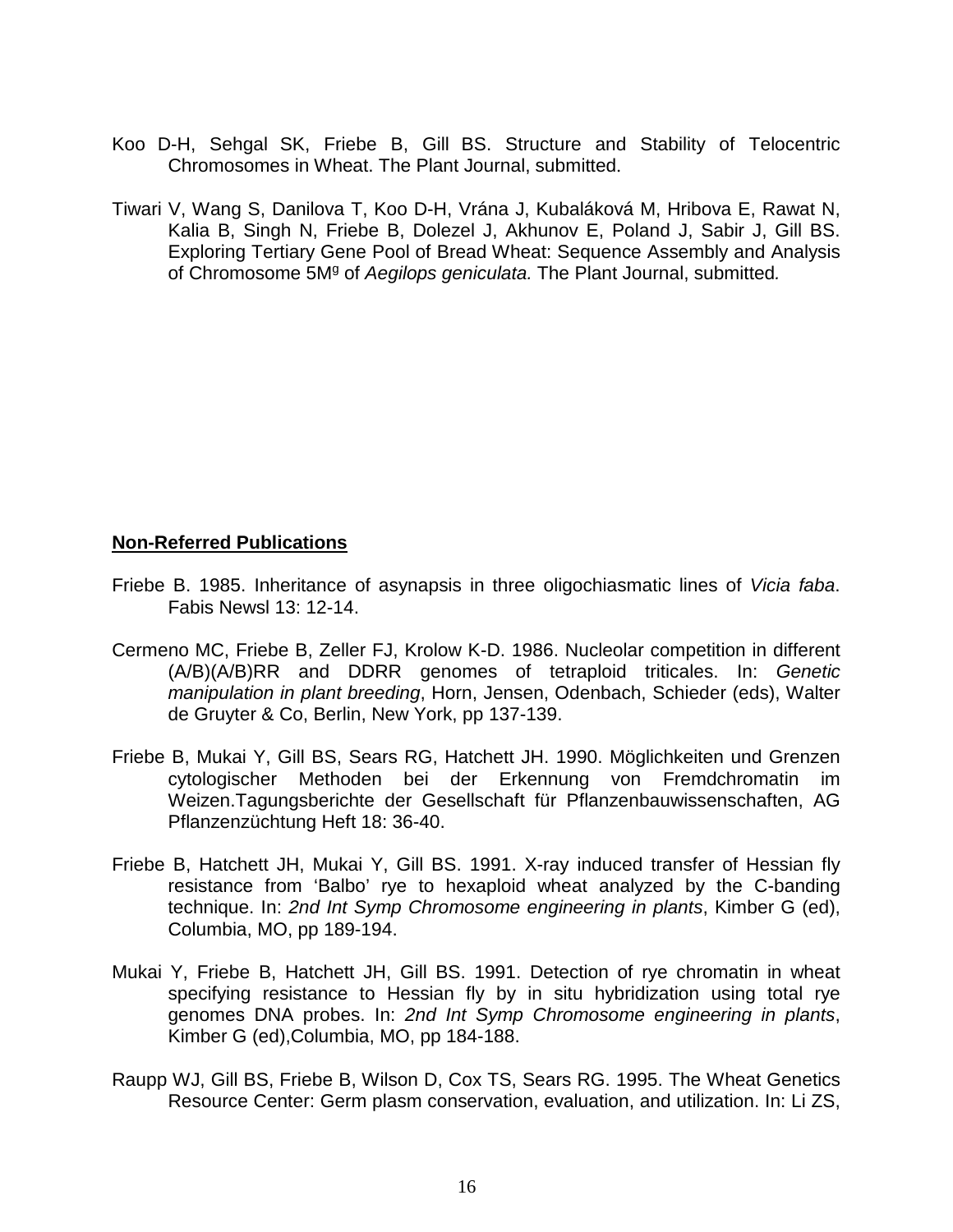- Koo D-H, Sehgal SK, Friebe B, Gill BS. Structure and Stability of Telocentric Chromosomes in Wheat. The Plant Journal, submitted.
- Tiwari V, Wang S, Danilova T, Koo D-H, Vrána J, Kubaláková M, Hribova E, Rawat N, Kalia B, Singh N, Friebe B, Dolezel J, Akhunov E, Poland J, Sabir J, Gill BS. Exploring Tertiary Gene Pool of Bread Wheat: Sequence Assembly and Analysis of Chromosome 5Mg of *Aegilops geniculata.* The Plant Journal, submitted*.*

## **Non-Referred Publications**

- Friebe B. 1985. Inheritance of asynapsis in three oligochiasmatic lines of *Vicia faba*. Fabis Newsl 13: 12-14.
- Cermeno MC, Friebe B, Zeller FJ, Krolow K-D. 1986. Nucleolar competition in different (A/B)(A/B)RR and DDRR genomes of tetraploid triticales. In: *Genetic manipulation in plant breeding*, Horn, Jensen, Odenbach, Schieder (eds), Walter de Gruyter & Co, Berlin, New York, pp 137-139.
- Friebe B, Mukai Y, Gill BS, Sears RG, Hatchett JH. 1990. Möglichkeiten und Grenzen cytologischer Methoden bei der Erkennung von Fremdchromatin im Weizen.Tagungsberichte der Gesellschaft für Pflanzenbauwissenschaften, AG Pflanzenzüchtung Heft 18: 36-40.
- Friebe B, Hatchett JH, Mukai Y, Gill BS. 1991. X-ray induced transfer of Hessian fly resistance from 'Balbo' rye to hexaploid wheat analyzed by the C-banding technique. In: *2nd Int Symp Chromosome engineering in plants*, Kimber G (ed), Columbia, MO, pp 189-194.
- Mukai Y, Friebe B, Hatchett JH, Gill BS. 1991. Detection of rye chromatin in wheat specifying resistance to Hessian fly by in situ hybridization using total rye genomes DNA probes. In: *2nd Int Symp Chromosome engineering in plants*, Kimber G (ed),Columbia, MO, pp 184-188.
- Raupp WJ, Gill BS, Friebe B, Wilson D, Cox TS, Sears RG. 1995. The Wheat Genetics Resource Center: Germ plasm conservation, evaluation, and utilization. In: Li ZS,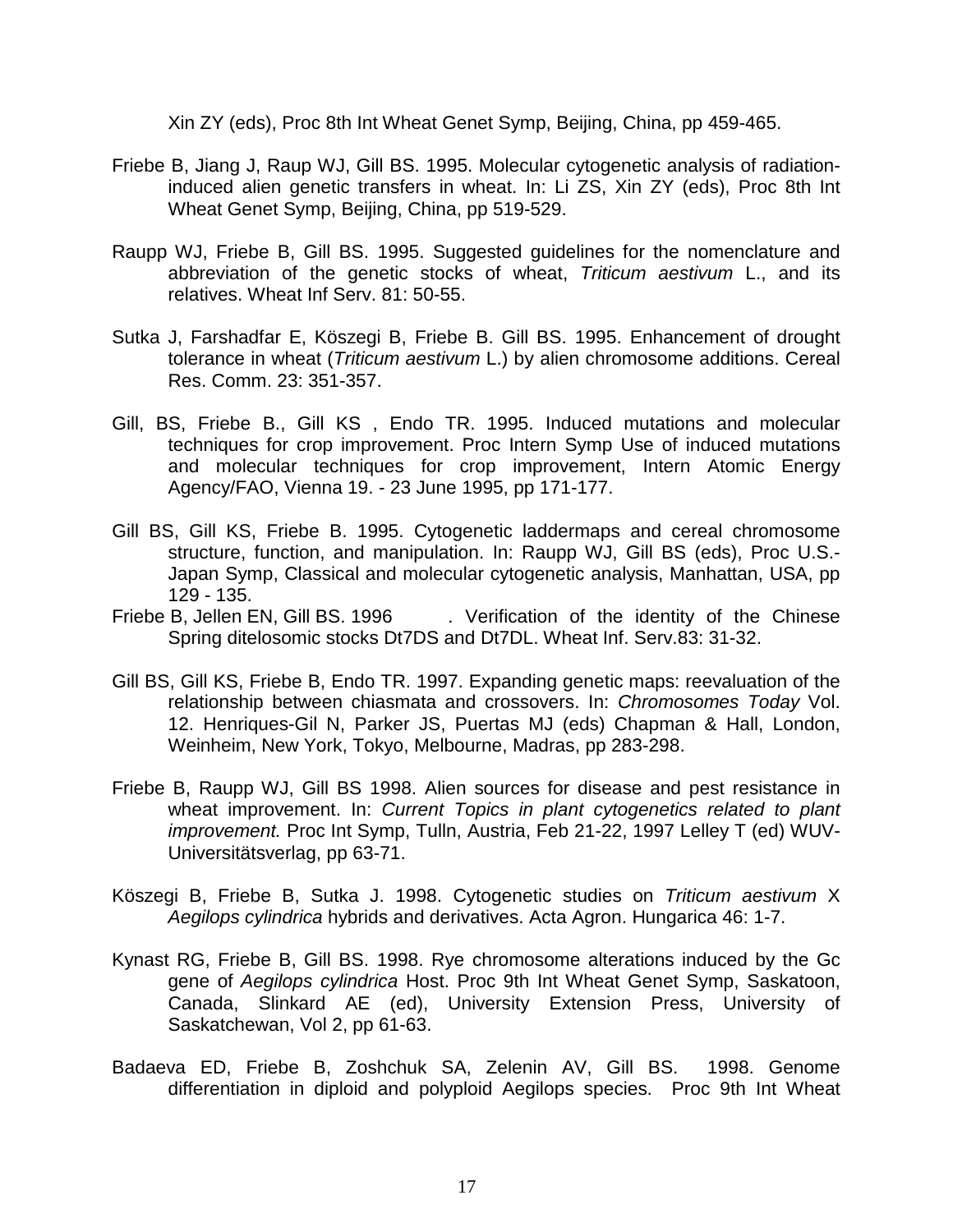Xin ZY (eds), Proc 8th Int Wheat Genet Symp, Beijing, China, pp 459-465.

- Friebe B, Jiang J, Raup WJ, Gill BS. 1995. Molecular cytogenetic analysis of radiationinduced alien genetic transfers in wheat. In: Li ZS, Xin ZY (eds), Proc 8th Int Wheat Genet Symp, Beijing, China, pp 519-529.
- Raupp WJ, Friebe B, Gill BS. 1995. Suggested guidelines for the nomenclature and abbreviation of the genetic stocks of wheat, *Triticum aestivum* L., and its relatives. Wheat Inf Serv. 81: 50-55.
- Sutka J, Farshadfar E, Köszegi B, Friebe B. Gill BS. 1995. Enhancement of drought tolerance in wheat (*Triticum aestivum* L.) by alien chromosome additions. Cereal Res. Comm. 23: 351-357.
- Gill, BS, Friebe B., Gill KS , Endo TR. 1995. Induced mutations and molecular techniques for crop improvement. Proc Intern Symp Use of induced mutations and molecular techniques for crop improvement, Intern Atomic Energy Agency/FAO, Vienna 19. - 23 June 1995, pp 171-177.
- Gill BS, Gill KS, Friebe B. 1995. Cytogenetic laddermaps and cereal chromosome structure, function, and manipulation. In: Raupp WJ, Gill BS (eds), Proc U.S.- Japan Symp, Classical and molecular cytogenetic analysis, Manhattan, USA, pp 129 - 135.<br>Friebe B, Jellen EN, Gill BS. 1996
- . Verification of the identity of the Chinese Spring ditelosomic stocks Dt7DS and Dt7DL. Wheat Inf. Serv.83: 31-32.
- Gill BS, Gill KS, Friebe B, Endo TR. 1997. Expanding genetic maps: reevaluation of the relationship between chiasmata and crossovers. In: *Chromosomes Today* Vol. 12. Henriques-Gil N, Parker JS, Puertas MJ (eds) Chapman & Hall, London, Weinheim, New York, Tokyo, Melbourne, Madras, pp 283-298.
- Friebe B, Raupp WJ, Gill BS 1998. Alien sources for disease and pest resistance in wheat improvement. In: *Current Topics in plant cytogenetics related to plant improvement.* Proc Int Symp, Tulln, Austria, Feb 21-22, 1997 Lelley T (ed) WUV-Universitätsverlag, pp 63-71.
- Köszegi B, Friebe B, Sutka J. 1998. Cytogenetic studies on *Triticum aestivum* X *Aegilops cylindrica* hybrids and derivatives. Acta Agron. Hungarica 46: 1-7.
- Kynast RG, Friebe B, Gill BS. 1998. Rye chromosome alterations induced by the Gc gene of *Aegilops cylindrica* Host. Proc 9th Int Wheat Genet Symp, Saskatoon, Canada, Slinkard AE (ed), University Extension Press, University of Saskatchewan, Vol 2, pp 61-63.
- Badaeva ED, Friebe B, Zoshchuk SA, Zelenin AV, Gill BS. 1998. Genome differentiation in diploid and polyploid Aegilops species. Proc 9th Int Wheat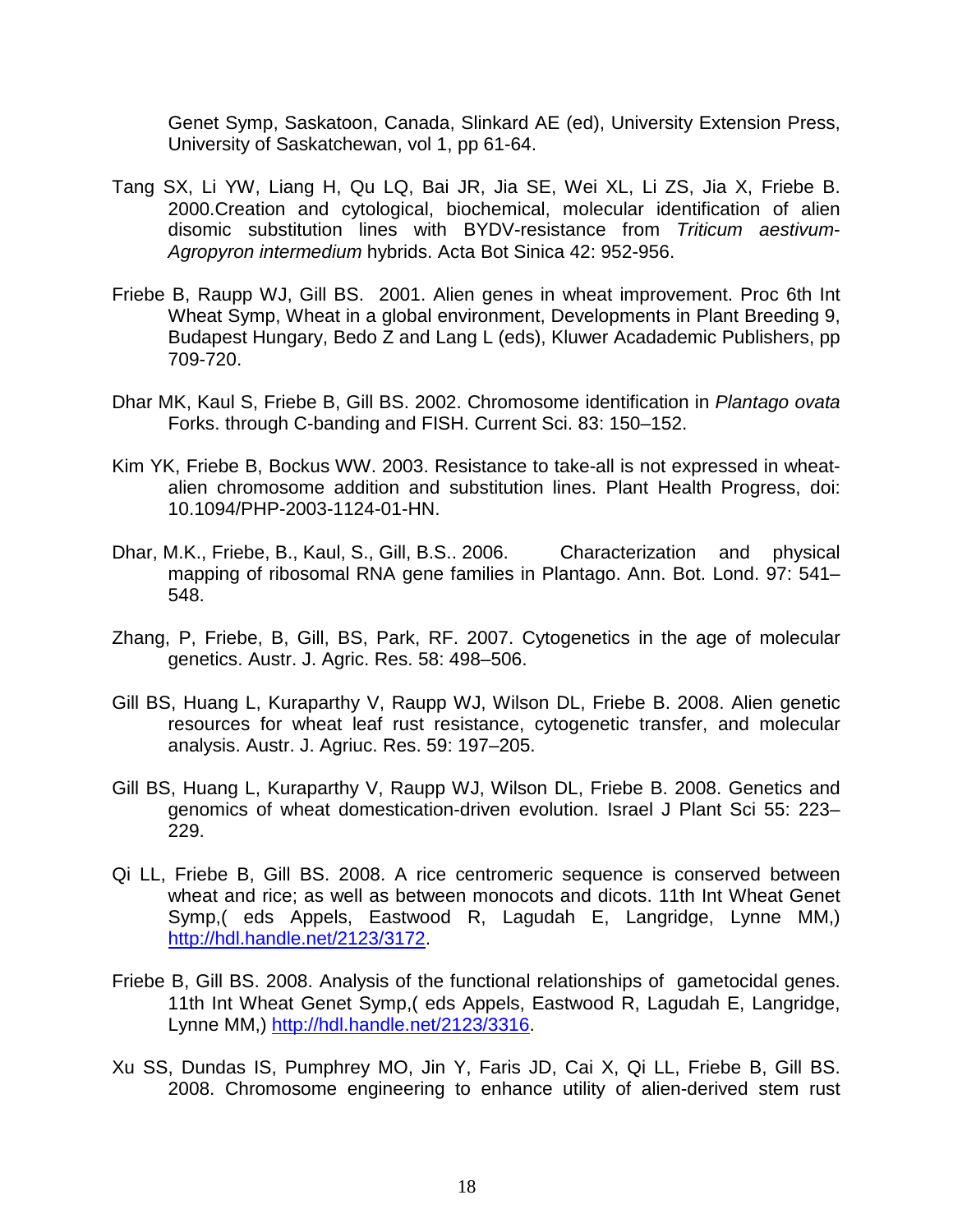Genet Symp, Saskatoon, Canada, Slinkard AE (ed), University Extension Press, University of Saskatchewan, vol 1, pp 61-64.

- Tang SX, Li YW, Liang H, Qu LQ, Bai JR, Jia SE, Wei XL, Li ZS, Jia X, Friebe B. 2000.Creation and cytological, biochemical, molecular identification of alien disomic substitution lines with BYDV-resistance from *Triticum aestivum*-*Agropyron intermedium* hybrids. Acta Bot Sinica 42: 952-956.
- Friebe B, Raupp WJ, Gill BS. 2001. Alien genes in wheat improvement. Proc 6th Int Wheat Symp, Wheat in a global environment, Developments in Plant Breeding 9, Budapest Hungary, Bedo Z and Lang L (eds), Kluwer Acadademic Publishers, pp 709-720.
- Dhar MK, Kaul S, Friebe B, Gill BS. 2002. Chromosome identification in *Plantago ovata* Forks. through C-banding and FISH. Current Sci. 83: 150–152.
- Kim YK, Friebe B, Bockus WW. 2003. Resistance to take-all is not expressed in wheatalien chromosome addition and substitution lines. Plant Health Progress, doi: 10.1094/PHP-2003-1124-01-HN.
- Dhar, M.K., Friebe, B., Kaul, S., Gill, B.S.. 2006. Characterization and physical mapping of ribosomal RNA gene families in Plantago. Ann. Bot. Lond. 97: 541– 548.
- Zhang, P, Friebe, B, Gill, BS, Park, RF. 2007. Cytogenetics in the age of molecular genetics. Austr. J. Agric. Res. 58: 498–506.
- Gill BS, Huang L, Kuraparthy V, Raupp WJ, Wilson DL, Friebe B. 2008. Alien genetic resources for wheat leaf rust resistance, cytogenetic transfer, and molecular analysis. Austr. J. Agriuc. Res. 59: 197–205.
- Gill BS, Huang L, Kuraparthy V, Raupp WJ, Wilson DL, Friebe B. 2008. Genetics and genomics of wheat domestication-driven evolution. Israel J Plant Sci 55: 223– 229.
- Qi LL, Friebe B, Gill BS. 2008. A rice centromeric sequence is conserved between wheat and rice; as well as between monocots and dicots. 11th Int Wheat Genet Symp,( eds Appels, Eastwood R, Lagudah E, Langridge, Lynne MM,) [http://hdl.handle.net/2123/3172.](http://hdl.handle.net/2123/3172)
- Friebe B, Gill BS. 2008. Analysis of the functional relationships of gametocidal genes. 11th Int Wheat Genet Symp,( eds Appels, Eastwood R, Lagudah E, Langridge, Lynne MM,) [http://hdl.handle.net/2123/3316.](http://hdl.handle.net/2123/3316)
- Xu SS, Dundas IS, Pumphrey MO, Jin Y, Faris JD, Cai X, Qi LL, Friebe B, Gill BS. 2008. Chromosome engineering to enhance utility of alien-derived stem rust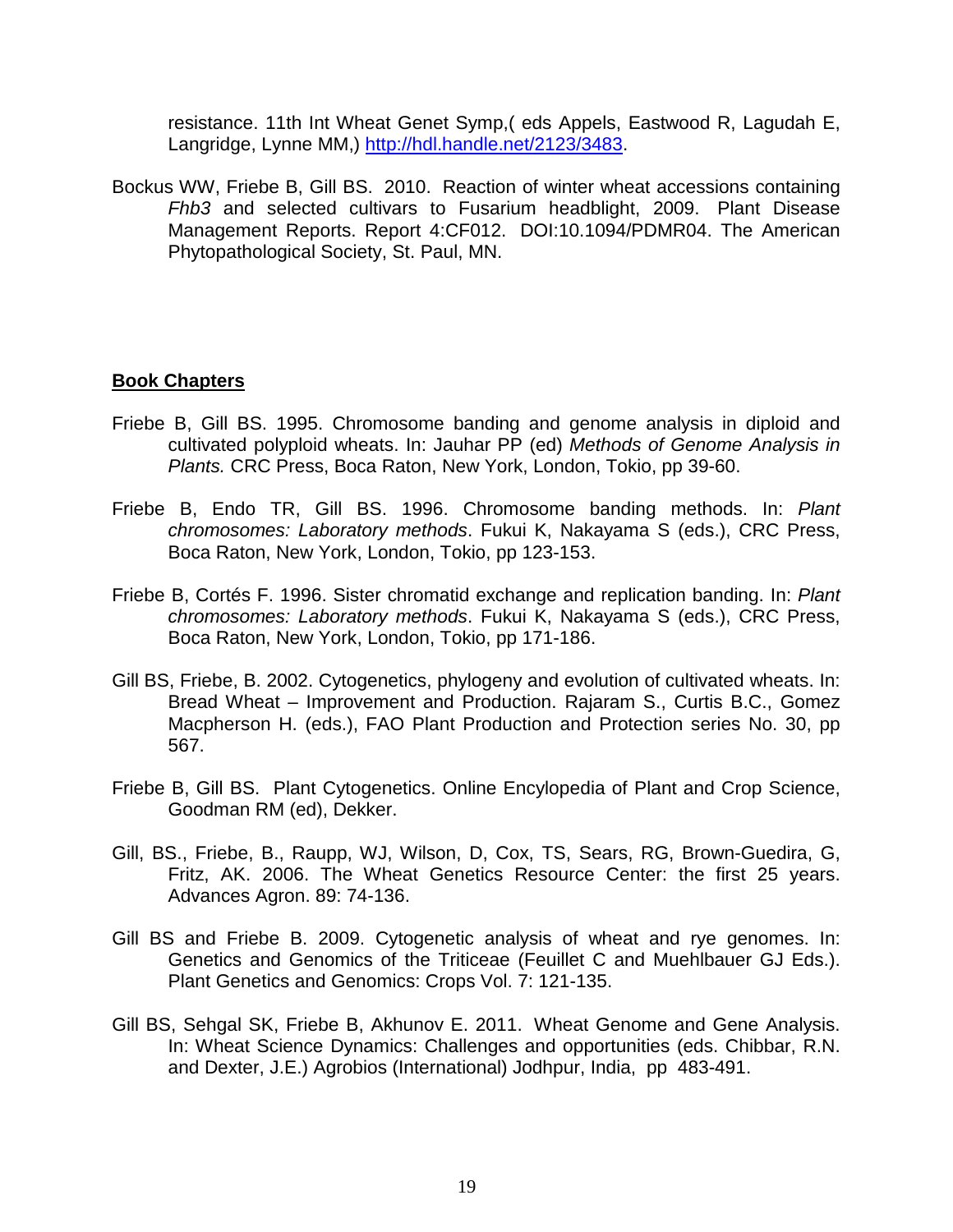resistance. 11th Int Wheat Genet Symp,( eds Appels, Eastwood R, Lagudah E, Langridge, Lynne MM,) [http://hdl.handle.net/2123/3483.](http://hdl.handle.net/2123/3483)

Bockus WW, Friebe B, Gill BS. 2010. Reaction of winter wheat accessions containing *Fhb3* and selected cultivars to Fusarium headblight, 2009. Plant Disease Management Reports. Report 4:CF012. DOI:10.1094/PDMR04. The American Phytopathological Society, St. Paul, MN.

# **Book Chapters**

- Friebe B, Gill BS. 1995. Chromosome banding and genome analysis in diploid and cultivated polyploid wheats. In: Jauhar PP (ed) *Methods of Genome Analysis in Plants.* CRC Press, Boca Raton, New York, London, Tokio, pp 39-60.
- Friebe B, Endo TR, Gill BS. 1996. Chromosome banding methods. In: *Plant chromosomes: Laboratory methods*. Fukui K, Nakayama S (eds.), CRC Press, Boca Raton, New York, London, Tokio, pp 123-153.
- Friebe B, Cortés F. 1996. Sister chromatid exchange and replication banding. In: *Plant chromosomes: Laboratory methods*. Fukui K, Nakayama S (eds.), CRC Press, Boca Raton, New York, London, Tokio, pp 171-186.
- Gill BS, Friebe, B. 2002. Cytogenetics, phylogeny and evolution of cultivated wheats. In: Bread Wheat – Improvement and Production. Rajaram S., Curtis B.C., Gomez Macpherson H. (eds.), FAO Plant Production and Protection series No. 30, pp 567.
- Friebe B, Gill BS. Plant Cytogenetics. Online Encylopedia of Plant and Crop Science, Goodman RM (ed), Dekker.
- Gill, BS., Friebe, B., Raupp, WJ, Wilson, D, Cox, TS, Sears, RG, Brown-Guedira, G, Fritz, AK. 2006. The Wheat Genetics Resource Center: the first 25 years. Advances Agron. 89: 74-136.
- Gill BS and Friebe B. 2009. Cytogenetic analysis of wheat and rye genomes. In: Genetics and Genomics of the Triticeae (Feuillet C and Muehlbauer GJ Eds.). Plant Genetics and Genomics: Crops Vol. 7: 121-135.
- Gill BS, Sehgal SK, Friebe B, Akhunov E. 2011. Wheat Genome and Gene Analysis. In: Wheat Science Dynamics: Challenges and opportunities (eds. Chibbar, R.N. and Dexter, J.E.) Agrobios (International) Jodhpur, India, pp 483-491.